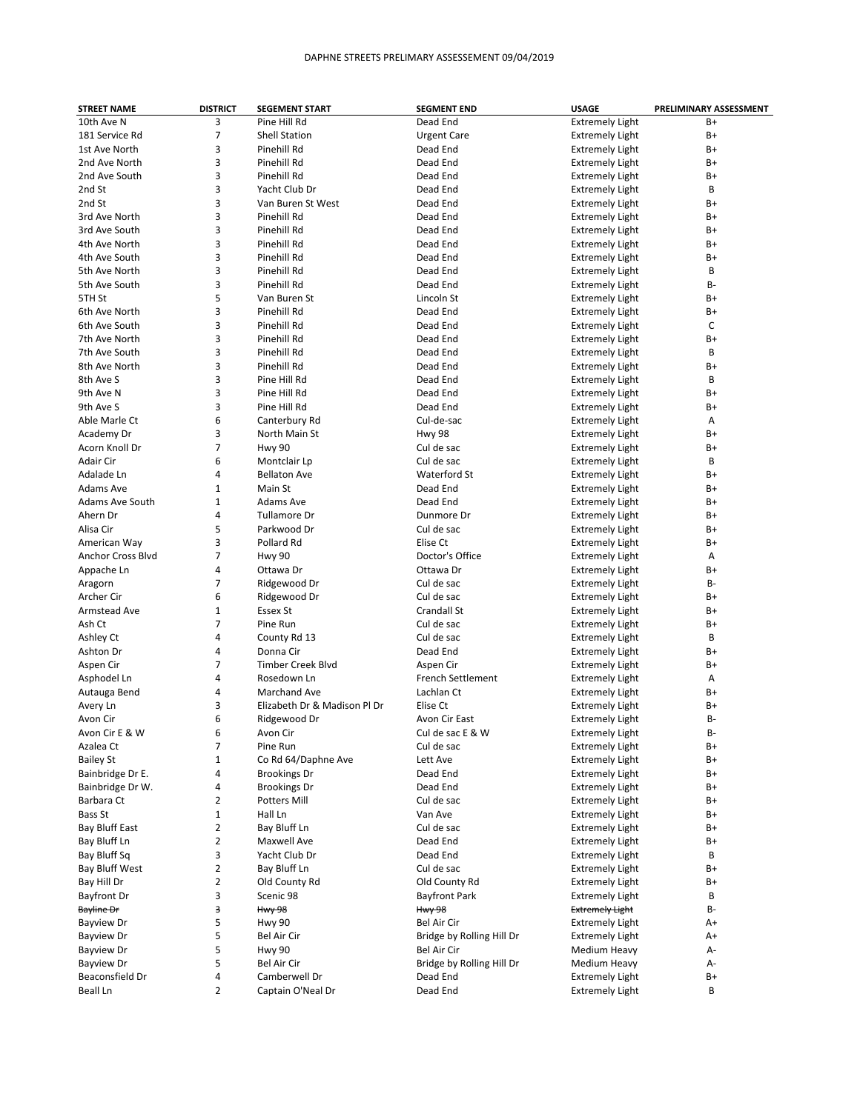| <b>STREET NAME</b> | <b>DISTRICT</b> | <b>SEGEMENT START</b>        | <b>SEGMENT END</b>        | <b>USAGE</b>           | PRELIMINARY ASSESSMENT |
|--------------------|-----------------|------------------------------|---------------------------|------------------------|------------------------|
| 10th Ave N         | 3               | Pine Hill Rd                 | Dead End                  | <b>Extremely Light</b> | B+                     |
| 181 Service Rd     | 7               | <b>Shell Station</b>         | <b>Urgent Care</b>        | <b>Extremely Light</b> | B+                     |
| 1st Ave North      | 3               | Pinehill Rd                  | Dead End                  | <b>Extremely Light</b> | B+                     |
| 2nd Ave North      | 3               | Pinehill Rd                  | Dead End                  | <b>Extremely Light</b> | B+                     |
| 2nd Ave South      | 3               | Pinehill Rd                  | Dead End                  | <b>Extremely Light</b> | B+                     |
| 2nd St             | 3               | Yacht Club Dr                | Dead End                  | <b>Extremely Light</b> | В                      |
| 2nd St             | 3               | Van Buren St West            | Dead End                  | <b>Extremely Light</b> | B+                     |
| 3rd Ave North      | 3               | Pinehill Rd                  | Dead End                  |                        | B+                     |
|                    |                 |                              |                           | <b>Extremely Light</b> |                        |
| 3rd Ave South      | 3               | Pinehill Rd                  | Dead End                  | <b>Extremely Light</b> | B+                     |
| 4th Ave North      | 3               | Pinehill Rd                  | Dead End                  | <b>Extremely Light</b> | B+                     |
| 4th Ave South      | 3               | Pinehill Rd                  | Dead End                  | <b>Extremely Light</b> | B+                     |
| 5th Ave North      | 3               | Pinehill Rd                  | Dead End                  | <b>Extremely Light</b> | B                      |
| 5th Ave South      | 3               | Pinehill Rd                  | Dead End                  | <b>Extremely Light</b> | B-                     |
| 5TH St             | 5               | Van Buren St                 | Lincoln St                | <b>Extremely Light</b> | B+                     |
| 6th Ave North      | 3               | Pinehill Rd                  | Dead End                  | <b>Extremely Light</b> | B+                     |
| 6th Ave South      | 3               | Pinehill Rd                  | Dead End                  | <b>Extremely Light</b> | С                      |
| 7th Ave North      | 3               | Pinehill Rd                  | Dead End                  | <b>Extremely Light</b> | B+                     |
| 7th Ave South      | 3               | Pinehill Rd                  | Dead End                  | <b>Extremely Light</b> | В                      |
| 8th Ave North      | 3               | Pinehill Rd                  | Dead End                  | <b>Extremely Light</b> | B+                     |
| 8th Ave S          | 3               | Pine Hill Rd                 | Dead End                  | <b>Extremely Light</b> | B                      |
| 9th Ave N          | 3               | Pine Hill Rd                 | Dead End                  | <b>Extremely Light</b> | B+                     |
| 9th Ave S          | 3               | Pine Hill Rd                 | Dead End                  | <b>Extremely Light</b> | B+                     |
| Able Marle Ct      | 6               | Canterbury Rd                | Cul-de-sac                | <b>Extremely Light</b> | Α                      |
| Academy Dr         | 3               | North Main St                | Hwy 98                    | <b>Extremely Light</b> | B+                     |
|                    | 7               |                              | Cul de sac                |                        |                        |
| Acorn Knoll Dr     |                 | <b>Hwy 90</b>                |                           | <b>Extremely Light</b> | B+                     |
| Adair Cir          | 6               | Montclair Lp                 | Cul de sac                | <b>Extremely Light</b> | B                      |
| Adalade Ln         | 4               | <b>Bellaton Ave</b>          | Waterford St              | <b>Extremely Light</b> | B+                     |
| Adams Ave          | $\mathbf{1}$    | Main St                      | Dead End                  | <b>Extremely Light</b> | B+                     |
| Adams Ave South    | $\mathbf{1}$    | Adams Ave                    | Dead End                  | <b>Extremely Light</b> | B+                     |
| Ahern Dr           | 4               | Tullamore Dr                 | Dunmore Dr                | <b>Extremely Light</b> | B+                     |
| Alisa Cir          | 5               | Parkwood Dr                  | Cul de sac                | <b>Extremely Light</b> | B+                     |
| American Way       | 3               | Pollard Rd                   | Elise Ct                  | <b>Extremely Light</b> | B+                     |
| Anchor Cross Blvd  | $\overline{7}$  | <b>Hwy 90</b>                | Doctor's Office           | <b>Extremely Light</b> | Α                      |
| Appache Ln         | 4               | Ottawa Dr                    | Ottawa Dr                 | <b>Extremely Light</b> | B+                     |
| Aragorn            | $\overline{7}$  | Ridgewood Dr                 | Cul de sac                | <b>Extremely Light</b> | B-                     |
| Archer Cir         | 6               | Ridgewood Dr                 | Cul de sac                | <b>Extremely Light</b> | B+                     |
| Armstead Ave       | 1               | Essex St                     | Crandall St               | <b>Extremely Light</b> | B+                     |
| Ash Ct             | 7               | Pine Run                     | Cul de sac                | <b>Extremely Light</b> | B+                     |
| Ashley Ct          | 4               | County Rd 13                 | Cul de sac                | <b>Extremely Light</b> | В                      |
| Ashton Dr          | 4               | Donna Cir                    | Dead End                  | <b>Extremely Light</b> | B+                     |
| Aspen Cir          | 7               | <b>Timber Creek Blvd</b>     | Aspen Cir                 | <b>Extremely Light</b> | B+                     |
| Asphodel Ln        | 4               | Rosedown Ln                  | French Settlement         | <b>Extremely Light</b> | Α                      |
| Autauga Bend       | 4               | Marchand Ave                 | Lachlan Ct                | <b>Extremely Light</b> | B+                     |
|                    |                 | Elizabeth Dr & Madison Pl Dr | Elise Ct                  |                        |                        |
| Avery Ln           | 3               |                              |                           | <b>Extremely Light</b> | B+                     |
| Avon Cir           | 6               | Ridgewood Dr                 | Avon Cir East             | <b>Extremely Light</b> | B-                     |
| Avon Cir E & W     | 6               | Avon Cir                     | Cul de sac E & W          | <b>Extremely Light</b> | В-                     |
| Azalea Ct          | 7               | Pine Run                     | Cul de sac                | <b>Extremely Light</b> | B+                     |
| <b>Bailey St</b>   | 1               | Co Rd 64/Daphne Ave          | Lett Ave                  | <b>Extremely Light</b> | B+                     |
| Bainbridge Dr E.   | 4               | <b>Brookings Dr</b>          | Dead End                  | <b>Extremely Light</b> | B+                     |
| Bainbridge Dr W.   | 4               | <b>Brookings Dr</b>          | Dead End                  | <b>Extremely Light</b> | B+                     |
| Barbara Ct         | 2               | <b>Potters Mill</b>          | Cul de sac                | <b>Extremely Light</b> | B+                     |
| Bass St            | $\mathbf{1}$    | Hall Ln                      | Van Ave                   | <b>Extremely Light</b> | B+                     |
| Bay Bluff East     | $\overline{2}$  | Bay Bluff Ln                 | Cul de sac                | <b>Extremely Light</b> | B+                     |
| Bay Bluff Ln       | 2               | Maxwell Ave                  | Dead End                  | <b>Extremely Light</b> | B+                     |
| Bay Bluff Sq       | 3               | Yacht Club Dr                | Dead End                  | <b>Extremely Light</b> | В                      |
| Bay Bluff West     | 2               | Bay Bluff Ln                 | Cul de sac                | <b>Extremely Light</b> | B+                     |
| Bay Hill Dr        | $\overline{2}$  | Old County Rd                | Old County Rd             | <b>Extremely Light</b> | B+                     |
| <b>Bayfront Dr</b> | 3               | Scenic 98                    | <b>Bayfront Park</b>      | <b>Extremely Light</b> | В                      |
| Bayline Dr         | з               | <b>Hwy 98</b>                | <b>Hwy 98</b>             | <b>Extremely Light</b> | В-                     |
| Bayview Dr         | 5               | <b>Hwy 90</b>                | Bel Air Cir               | <b>Extremely Light</b> | A+                     |
| <b>Bayview Dr</b>  | 5               | Bel Air Cir                  | Bridge by Rolling Hill Dr | <b>Extremely Light</b> | A+                     |
| <b>Bayview Dr</b>  | 5               | <b>Hwy 90</b>                | Bel Air Cir               | Medium Heavy           | А-                     |
| <b>Bayview Dr</b>  | 5               | Bel Air Cir                  | Bridge by Rolling Hill Dr | Medium Heavy           | А-                     |
|                    |                 |                              |                           |                        |                        |
| Beaconsfield Dr    | 4               | Camberwell Dr                | Dead End                  | <b>Extremely Light</b> | B+                     |
| Beall Ln           | 2               | Captain O'Neal Dr            | Dead End                  | <b>Extremely Light</b> | В                      |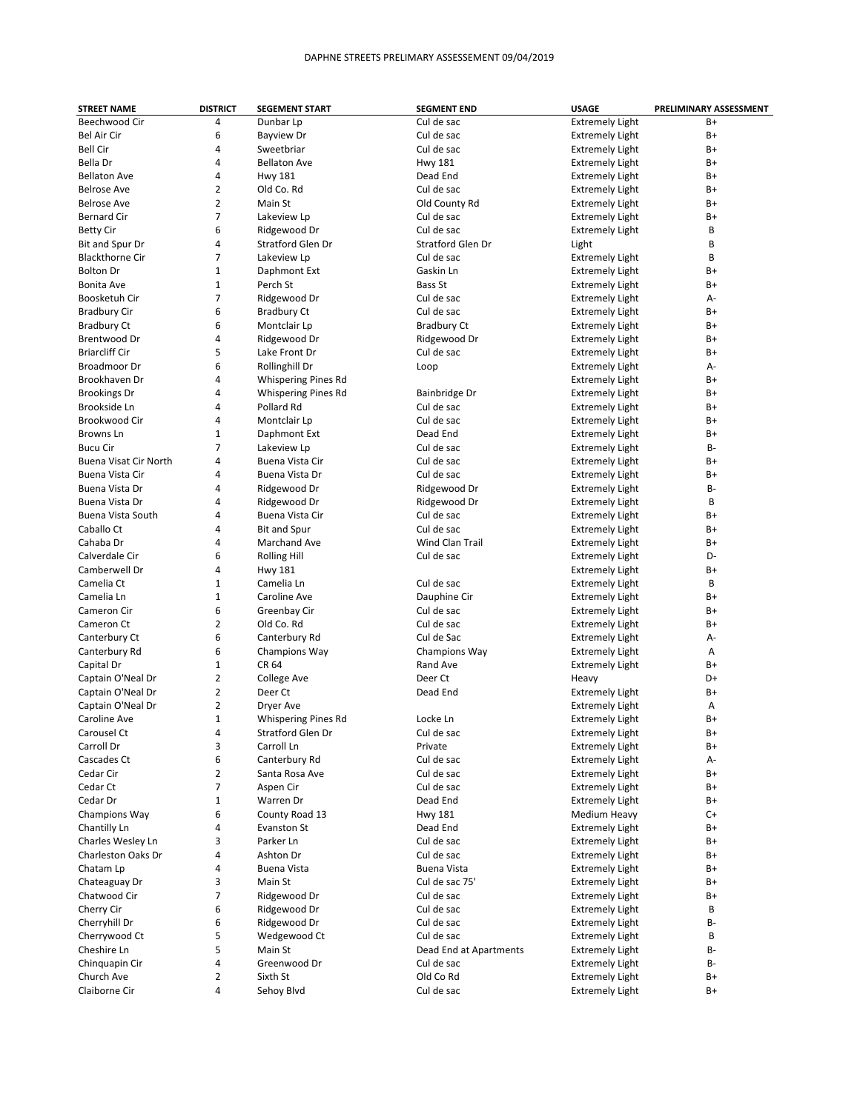| <b>STREET NAME</b>     | <b>DISTRICT</b> | <b>SEGEMENT START</b>      | <b>SEGMENT END</b>     | <b>USAGE</b>           | PRELIMINARY ASSESSMENT |
|------------------------|-----------------|----------------------------|------------------------|------------------------|------------------------|
| Beechwood Cir          | 4               | Dunbar Lp                  | Cul de sac             | <b>Extremely Light</b> | B+                     |
| Bel Air Cir            | 6               | <b>Bayview Dr</b>          | Cul de sac             | <b>Extremely Light</b> | B+                     |
| <b>Bell Cir</b>        | 4               | Sweetbriar                 | Cul de sac             | <b>Extremely Light</b> | B+                     |
| Bella Dr               | 4               | <b>Bellaton Ave</b>        | <b>Hwy 181</b>         | <b>Extremely Light</b> | B+                     |
| <b>Bellaton Ave</b>    | 4               | <b>Hwy 181</b>             | Dead End               | <b>Extremely Light</b> | B+                     |
| Belrose Ave            | $\overline{2}$  | Old Co. Rd                 | Cul de sac             | <b>Extremely Light</b> | B+                     |
| <b>Belrose Ave</b>     | $\overline{2}$  | Main St                    | Old County Rd          | <b>Extremely Light</b> | B+                     |
| <b>Bernard Cir</b>     | $\overline{7}$  | Lakeview Lp                | Cul de sac             | <b>Extremely Light</b> | B+                     |
| <b>Betty Cir</b>       | 6               | Ridgewood Dr               | Cul de sac             | <b>Extremely Light</b> | B                      |
| Bit and Spur Dr        | 4               | Stratford Glen Dr          | Stratford Glen Dr      | Light                  | B                      |
| <b>Blackthorne Cir</b> | $\overline{7}$  | Lakeview Lp                | Cul de sac             | <b>Extremely Light</b> | B                      |
| <b>Bolton Dr</b>       | $\mathbf{1}$    | Daphmont Ext               | Gaskin Ln              | <b>Extremely Light</b> | B+                     |
| Bonita Ave             | $\mathbf{1}$    | Perch St                   | <b>Bass St</b>         | <b>Extremely Light</b> | B+                     |
| Boosketuh Cir          | 7               | Ridgewood Dr               | Cul de sac             | <b>Extremely Light</b> | А-                     |
| <b>Bradbury Cir</b>    | 6               | Bradbury Ct                | Cul de sac             | <b>Extremely Light</b> | B+                     |
| <b>Bradbury Ct</b>     | 6               | Montclair Lp               | Bradbury Ct            | <b>Extremely Light</b> | B+                     |
| Brentwood Dr           | 4               | Ridgewood Dr               | Ridgewood Dr           | <b>Extremely Light</b> | B+                     |
| <b>Briarcliff Cir</b>  | 5               | Lake Front Dr              | Cul de sac             |                        | B+                     |
|                        | 6               |                            |                        | <b>Extremely Light</b> |                        |
| Broadmoor Dr           |                 | Rollinghill Dr             | Loop                   | <b>Extremely Light</b> | А-                     |
| Brookhaven Dr          | 4               | <b>Whispering Pines Rd</b> |                        | <b>Extremely Light</b> | B+                     |
| <b>Brookings Dr</b>    | 4               | <b>Whispering Pines Rd</b> | Bainbridge Dr          | <b>Extremely Light</b> | B+                     |
| Brookside Ln           | 4               | Pollard Rd                 | Cul de sac             | <b>Extremely Light</b> | B+                     |
| Brookwood Cir          | 4               | Montclair Lp               | Cul de sac             | <b>Extremely Light</b> | B+                     |
| Browns Ln              | $\mathbf{1}$    | Daphmont Ext               | Dead End               | <b>Extremely Light</b> | B+                     |
| <b>Bucu Cir</b>        | $\overline{7}$  | Lakeview Lp                | Cul de sac             | <b>Extremely Light</b> | B-                     |
| Buena Visat Cir North  | 4               | Buena Vista Cir            | Cul de sac             | <b>Extremely Light</b> | B+                     |
| <b>Buena Vista Cir</b> | 4               | Buena Vista Dr             | Cul de sac             | <b>Extremely Light</b> | B+                     |
| Buena Vista Dr         | 4               | Ridgewood Dr               | Ridgewood Dr           | <b>Extremely Light</b> | B-                     |
| Buena Vista Dr         | 4               | Ridgewood Dr               | Ridgewood Dr           | <b>Extremely Light</b> | B                      |
| Buena Vista South      | 4               | Buena Vista Cir            | Cul de sac             | <b>Extremely Light</b> | B+                     |
| Caballo Ct             | 4               | <b>Bit and Spur</b>        | Cul de sac             | <b>Extremely Light</b> | B+                     |
| Cahaba Dr              | 4               | Marchand Ave               | Wind Clan Trail        | <b>Extremely Light</b> | B+                     |
| Calverdale Cir         | 6               | <b>Rolling Hill</b>        | Cul de sac             | <b>Extremely Light</b> | D-                     |
| Camberwell Dr          | 4               | <b>Hwy 181</b>             |                        | <b>Extremely Light</b> | B+                     |
| Camelia Ct             | 1               | Camelia Ln                 | Cul de sac             | <b>Extremely Light</b> | B                      |
| Camelia Ln             | $\mathbf{1}$    | Caroline Ave               | Dauphine Cir           | <b>Extremely Light</b> | B+                     |
| Cameron Cir            | 6               | Greenbay Cir               | Cul de sac             | <b>Extremely Light</b> | B+                     |
| Cameron Ct             | $\overline{2}$  | Old Co. Rd                 | Cul de sac             | <b>Extremely Light</b> | B+                     |
| Canterbury Ct          | 6               | Canterbury Rd              | Cul de Sac             | <b>Extremely Light</b> | А-                     |
| Canterbury Rd          | 6               | Champions Way              | Champions Way          | <b>Extremely Light</b> | А                      |
| Capital Dr             | $\mathbf 1$     | CR 64                      | Rand Ave               | <b>Extremely Light</b> | B+                     |
| Captain O'Neal Dr      | $\overline{2}$  | <b>College Ave</b>         | Deer Ct                | Heavy                  | D+                     |
| Captain O'Neal Dr      | $\overline{2}$  | Deer Ct                    | Dead End               | <b>Extremely Light</b> | B+                     |
| Captain O'Neal Dr      | $\overline{2}$  | Dryer Ave                  |                        | <b>Extremely Light</b> | Α                      |
| Caroline Ave           | $\mathbf{1}$    | <b>Whispering Pines Rd</b> | Locke Ln               | <b>Extremely Light</b> | B+                     |
| Carousel Ct            | 4               | Stratford Glen Dr          | Cul de sac             | <b>Extremely Light</b> | B+                     |
| Carroll Dr             | 3               | Carroll Ln                 | Private                | <b>Extremely Light</b> | B+                     |
| Cascades Ct            | 6               | Canterbury Rd              | Cul de sac             | <b>Extremely Light</b> | A-                     |
| Cedar Cir              | $\overline{2}$  | Santa Rosa Ave             | Cul de sac             | <b>Extremely Light</b> | B+                     |
| Cedar Ct               | 7               | Aspen Cir                  | Cul de sac             | <b>Extremely Light</b> | B+                     |
| Cedar Dr               | 1               | Warren Dr                  | Dead End               | <b>Extremely Light</b> | B+                     |
| Champions Way          | 6               | County Road 13             | <b>Hwy 181</b>         | Medium Heavy           | C+                     |
| Chantilly Ln           | 4               | Evanston St                | Dead End               | <b>Extremely Light</b> | B+                     |
| Charles Wesley Ln      | 3               | Parker Ln                  | Cul de sac             | <b>Extremely Light</b> | B+                     |
| Charleston Oaks Dr     | 4               | Ashton Dr                  | Cul de sac             | <b>Extremely Light</b> | B+                     |
| Chatam Lp              | 4               | <b>Buena Vista</b>         | <b>Buena Vista</b>     | <b>Extremely Light</b> | B+                     |
| Chateaguay Dr          | 3               | Main St                    | Cul de sac 75'         | <b>Extremely Light</b> | B+                     |
| Chatwood Cir           | 7               | Ridgewood Dr               | Cul de sac             | <b>Extremely Light</b> | B+                     |
| Cherry Cir             | 6               | Ridgewood Dr               | Cul de sac             | <b>Extremely Light</b> | B                      |
| Cherryhill Dr          | 6               | Ridgewood Dr               | Cul de sac             | <b>Extremely Light</b> | В-                     |
| Cherrywood Ct          | 5               | Wedgewood Ct               | Cul de sac             | <b>Extremely Light</b> | B                      |
| Cheshire Ln            | 5               | Main St                    | Dead End at Apartments | <b>Extremely Light</b> | В-                     |
| Chinquapin Cir         | 4               | Greenwood Dr               | Cul de sac             | <b>Extremely Light</b> | B-                     |
| Church Ave             | 2               | Sixth St                   | Old Co Rd              | <b>Extremely Light</b> | B+                     |
| Claiborne Cir          | 4               | Sehoy Blvd                 | Cul de sac             | <b>Extremely Light</b> | B+                     |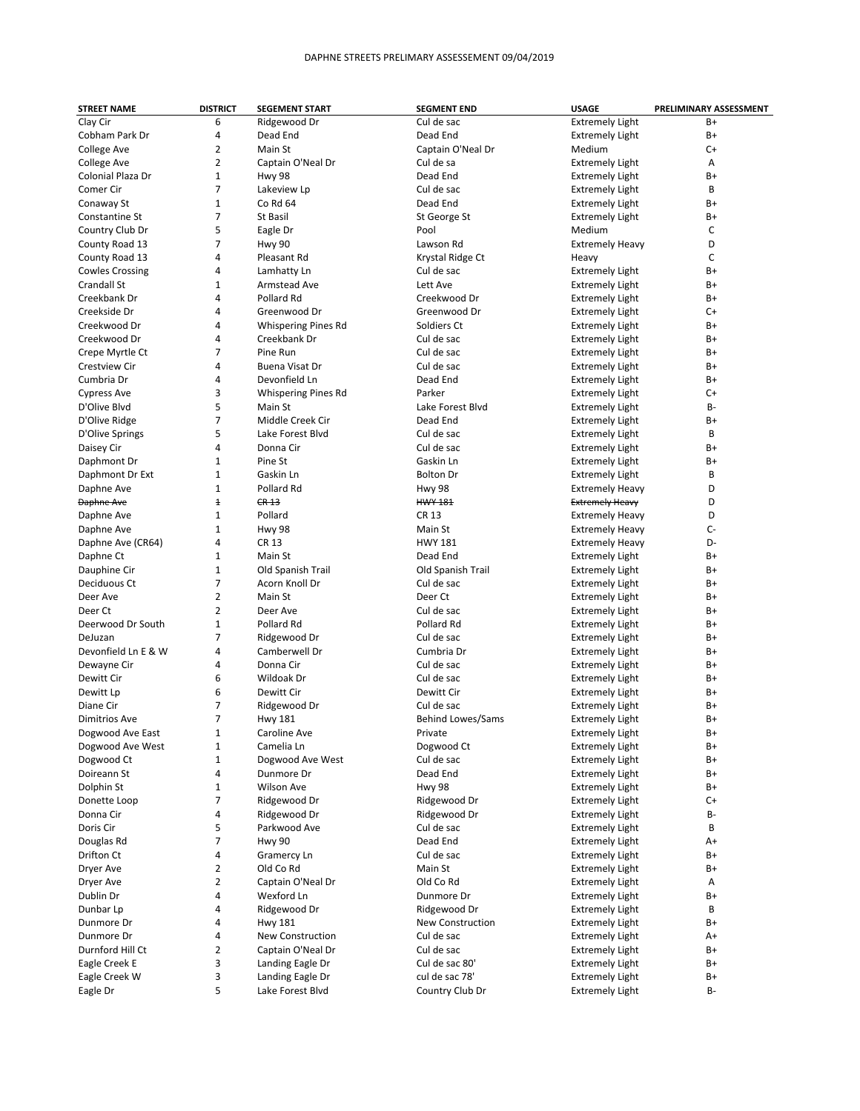| <b>STREET NAME</b>     | <b>DISTRICT</b>         | <b>SEGEMENT START</b>      | <b>SEGMENT END</b>       | <b>USAGE</b>           | PRELIMINARY ASSESSMENT |
|------------------------|-------------------------|----------------------------|--------------------------|------------------------|------------------------|
| Clay Cir               | 6                       | Ridgewood Dr               | Cul de sac               | <b>Extremely Light</b> | B+                     |
| Cobham Park Dr         | 4                       | Dead End                   | Dead End                 | <b>Extremely Light</b> | B+                     |
| College Ave            | 2                       | Main St                    | Captain O'Neal Dr        | Medium                 | C+                     |
| College Ave            | 2                       | Captain O'Neal Dr          | Cul de sa                | <b>Extremely Light</b> | Α                      |
| Colonial Plaza Dr      | $\mathbf{1}$            | <b>Hwy 98</b>              | Dead End                 | <b>Extremely Light</b> | B+                     |
| Comer Cir              | 7                       | Lakeview Lp                | Cul de sac               | <b>Extremely Light</b> | В                      |
| Conaway St             | $\mathbf{1}$            | Co Rd 64                   | Dead End                 | <b>Extremely Light</b> | B+                     |
| Constantine St         | 7                       | St Basil                   | St George St             | <b>Extremely Light</b> | B+                     |
| Country Club Dr        | 5                       | Eagle Dr                   | Pool                     | Medium                 | C                      |
| County Road 13         | 7                       | <b>Hwy 90</b>              | Lawson Rd                | <b>Extremely Heavy</b> | D                      |
| County Road 13         | 4                       | Pleasant Rd                | Krystal Ridge Ct         | Heavy                  | С                      |
| <b>Cowles Crossing</b> | 4                       | Lamhatty Ln                | Cul de sac               | <b>Extremely Light</b> | B+                     |
| <b>Crandall St</b>     | 1                       | Armstead Ave               | Lett Ave                 | <b>Extremely Light</b> | B+                     |
| Creekbank Dr           | 4                       | Pollard Rd                 | Creekwood Dr             | <b>Extremely Light</b> | B+                     |
| Creekside Dr           | 4                       | Greenwood Dr               | Greenwood Dr             | <b>Extremely Light</b> | C+                     |
| Creekwood Dr           | 4                       | <b>Whispering Pines Rd</b> | Soldiers Ct              | <b>Extremely Light</b> | B+                     |
| Creekwood Dr           | 4                       | Creekbank Dr               | Cul de sac               |                        | B+                     |
|                        | 7                       | Pine Run                   | Cul de sac               | <b>Extremely Light</b> | B+                     |
| Crepe Myrtle Ct        |                         |                            |                          | <b>Extremely Light</b> |                        |
| Crestview Cir          | 4                       | Buena Visat Dr             | Cul de sac               | <b>Extremely Light</b> | B+                     |
| Cumbria Dr             | 4                       | Devonfield Ln              | Dead End                 | <b>Extremely Light</b> | B+                     |
| <b>Cypress Ave</b>     | 3                       | <b>Whispering Pines Rd</b> | Parker                   | <b>Extremely Light</b> | C+                     |
| D'Olive Blvd           | 5                       | Main St                    | Lake Forest Blvd         | <b>Extremely Light</b> | <b>B-</b>              |
| D'Olive Ridge          | 7                       | Middle Creek Cir           | Dead End                 | <b>Extremely Light</b> | B+                     |
| D'Olive Springs        | 5                       | Lake Forest Blvd           | Cul de sac               | <b>Extremely Light</b> | B                      |
| Daisey Cir             | 4                       | Donna Cir                  | Cul de sac               | <b>Extremely Light</b> | B+                     |
| Daphmont Dr            | 1                       | Pine St                    | Gaskin Ln                | <b>Extremely Light</b> | B+                     |
| Daphmont Dr Ext        | 1                       | Gaskin Ln                  | <b>Bolton Dr</b>         | <b>Extremely Light</b> | В                      |
| Daphne Ave             | 1                       | Pollard Rd                 | Hwy 98                   | <b>Extremely Heavy</b> | D                      |
| Daphne Ave             | $\overline{\textbf{f}}$ | CR <sub>13</sub>           | <b>HWY 181</b>           | Extremely Heavy        | D                      |
| Daphne Ave             | 1                       | Pollard                    | <b>CR 13</b>             | <b>Extremely Heavy</b> | D                      |
| Daphne Ave             | $\mathbf{1}$            | <b>Hwy 98</b>              | Main St                  | <b>Extremely Heavy</b> | $C-$                   |
| Daphne Ave (CR64)      | 4                       | <b>CR 13</b>               | <b>HWY 181</b>           | <b>Extremely Heavy</b> | D-                     |
| Daphne Ct              | 1                       | Main St                    | Dead End                 | <b>Extremely Light</b> | B+                     |
| Dauphine Cir           | 1                       | Old Spanish Trail          | Old Spanish Trail        | <b>Extremely Light</b> | B+                     |
| Deciduous Ct           | 7                       | Acorn Knoll Dr             | Cul de sac               | <b>Extremely Light</b> | B+                     |
| Deer Ave               | $\overline{2}$          | Main St                    | Deer Ct                  | <b>Extremely Light</b> | B+                     |
| Deer Ct                | 2                       | Deer Ave                   | Cul de sac               | <b>Extremely Light</b> | B+                     |
| Deerwood Dr South      | $\mathbf{1}$            | Pollard Rd                 | Pollard Rd               | <b>Extremely Light</b> | B+                     |
| DeJuzan                | 7                       | Ridgewood Dr               | Cul de sac               | <b>Extremely Light</b> | B+                     |
| Devonfield Ln E & W    | 4                       | Camberwell Dr              | Cumbria Dr               | <b>Extremely Light</b> | B+                     |
|                        | 4                       |                            |                          |                        |                        |
| Dewayne Cir            |                         | Donna Cir                  | Cul de sac<br>Cul de sac | <b>Extremely Light</b> | B+                     |
| Dewitt Cir             | 6                       | Wildoak Dr                 |                          | <b>Extremely Light</b> | B+                     |
| Dewitt Lp              | 6                       | Dewitt Cir                 | Dewitt Cir               | <b>Extremely Light</b> | B+                     |
| Diane Cir              | 7                       | Ridgewood Dr               | Cul de sac               | <b>Extremely Light</b> | B+                     |
| Dimitrios Ave          | $\overline{7}$          | <b>Hwy 181</b>             | <b>Behind Lowes/Sams</b> | <b>Extremely Light</b> | B+                     |
| Dogwood Ave East       | 1                       | Caroline Ave               | Private                  | <b>Extremely Light</b> | B+                     |
| Dogwood Ave West       | 1                       | Camelia Ln                 | Dogwood Ct               | <b>Extremely Light</b> | B+                     |
| Dogwood Ct             | 1                       | Dogwood Ave West           | Cul de sac               | <b>Extremely Light</b> | B+                     |
| Doireann St            | 4                       | Dunmore Dr                 | Dead End                 | <b>Extremely Light</b> | B+                     |
| Dolphin St             | 1                       | <b>Wilson Ave</b>          | <b>Hwy 98</b>            | <b>Extremely Light</b> | B+                     |
| Donette Loop           | 7                       | Ridgewood Dr               | Ridgewood Dr             | <b>Extremely Light</b> | C+                     |
| Donna Cir              | 4                       | Ridgewood Dr               | Ridgewood Dr             | <b>Extremely Light</b> | В-                     |
| Doris Cir              | 5                       | Parkwood Ave               | Cul de sac               | <b>Extremely Light</b> | В                      |
| Douglas Rd             | 7                       | <b>Hwy 90</b>              | Dead End                 | <b>Extremely Light</b> | A+                     |
| Drifton Ct             | 4                       | Gramercy Ln                | Cul de sac               | <b>Extremely Light</b> | B+                     |
| Dryer Ave              | 2                       | Old Co Rd                  | Main St                  | <b>Extremely Light</b> | B+                     |
| Dryer Ave              | 2                       | Captain O'Neal Dr          | Old Co Rd                | <b>Extremely Light</b> | А                      |
| Dublin Dr              | 4                       | Wexford Ln                 | Dunmore Dr               | <b>Extremely Light</b> | B+                     |
| Dunbar Lp              | 4                       | Ridgewood Dr               | Ridgewood Dr             | <b>Extremely Light</b> | В                      |
| Dunmore Dr             | 4                       | <b>Hwy 181</b>             | New Construction         | <b>Extremely Light</b> | B+                     |
| Dunmore Dr             | 4                       | New Construction           | Cul de sac               | <b>Extremely Light</b> | A+                     |
| Durnford Hill Ct       | 2                       | Captain O'Neal Dr          | Cul de sac               | <b>Extremely Light</b> | B+                     |
| Eagle Creek E          | 3                       | Landing Eagle Dr           | Cul de sac 80'           | <b>Extremely Light</b> | B+                     |
|                        |                         |                            | cul de sac 78'           |                        |                        |
| Eagle Creek W          | 3                       | Landing Eagle Dr           |                          | <b>Extremely Light</b> | B+                     |
| Eagle Dr               | 5                       | Lake Forest Blvd           | Country Club Dr          | <b>Extremely Light</b> | В-                     |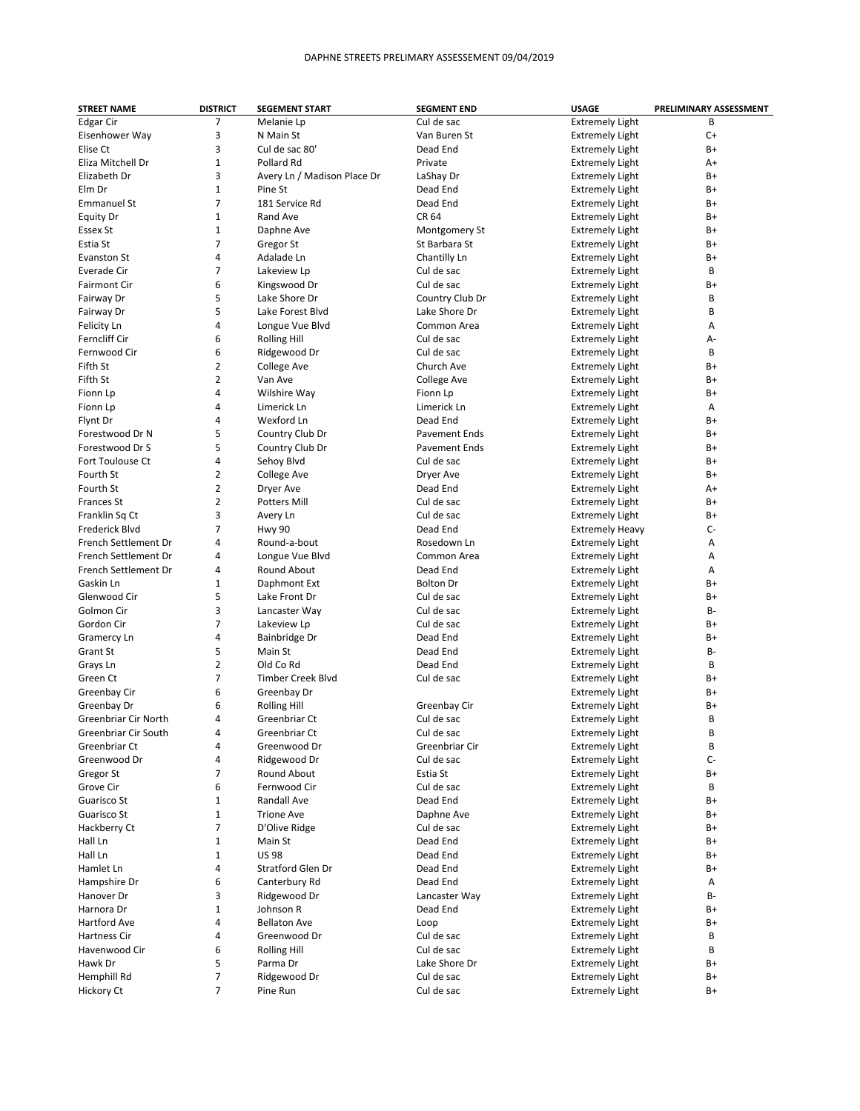| <b>STREET NAME</b>          | <b>DISTRICT</b> | <b>SEGEMENT START</b>       | <b>SEGMENT END</b>   | <b>USAGE</b>           | PRELIMINARY ASSESSMENT |
|-----------------------------|-----------------|-----------------------------|----------------------|------------------------|------------------------|
| Edgar Cir                   | 7               | Melanie Lp                  | Cul de sac           | <b>Extremely Light</b> | B                      |
| Eisenhower Way              | 3               | N Main St                   | Van Buren St         | <b>Extremely Light</b> | $C+$                   |
| Elise Ct                    | 3               | Cul de sac 80'              | Dead End             | <b>Extremely Light</b> | $B+$                   |
| Eliza Mitchell Dr           | $\mathbf{1}$    | Pollard Rd                  | Private              | <b>Extremely Light</b> | A+                     |
| Elizabeth Dr                | 3               | Avery Ln / Madison Place Dr | LaShay Dr            | <b>Extremely Light</b> | B+                     |
| Elm Dr                      | $\mathbf{1}$    | Pine St                     | Dead End             | <b>Extremely Light</b> | B+                     |
| <b>Emmanuel St</b>          | $\overline{7}$  | 181 Service Rd              | Dead End             | <b>Extremely Light</b> | B+                     |
| <b>Equity Dr</b>            | $\mathbf{1}$    | Rand Ave                    | CR 64                |                        | B+                     |
|                             |                 |                             |                      | <b>Extremely Light</b> |                        |
| Essex St                    | $\mathbf{1}$    | Daphne Ave                  | Montgomery St        | <b>Extremely Light</b> | B+                     |
| Estia St                    | 7               | Gregor St                   | St Barbara St        | <b>Extremely Light</b> | B+                     |
| Evanston St                 | 4               | Adalade Ln                  | Chantilly Ln         | <b>Extremely Light</b> | B+                     |
| Everade Cir                 | 7               | Lakeview Lp                 | Cul de sac           | <b>Extremely Light</b> | B                      |
| <b>Fairmont Cir</b>         | 6               | Kingswood Dr                | Cul de sac           | <b>Extremely Light</b> | $B+$                   |
| Fairway Dr                  | 5               | Lake Shore Dr               | Country Club Dr      | <b>Extremely Light</b> | B                      |
| Fairway Dr                  | 5               | Lake Forest Blvd            | Lake Shore Dr        | <b>Extremely Light</b> | B                      |
| Felicity Ln                 | 4               | Longue Vue Blvd             | Common Area          | <b>Extremely Light</b> | Α                      |
| Ferncliff Cir               | 6               | <b>Rolling Hill</b>         | Cul de sac           | <b>Extremely Light</b> | A-                     |
| Fernwood Cir                | 6               | Ridgewood Dr                | Cul de sac           | <b>Extremely Light</b> | B                      |
| Fifth St                    | $\overline{2}$  | College Ave                 | Church Ave           | <b>Extremely Light</b> | $B+$                   |
| Fifth St                    | $\overline{2}$  | Van Ave                     | College Ave          | <b>Extremely Light</b> | B+                     |
| Fionn Lp                    | 4               | Wilshire Way                | Fionn Lp             | <b>Extremely Light</b> | B+                     |
| Fionn Lp                    | 4               | Limerick Ln                 | Limerick Ln          | <b>Extremely Light</b> | Α                      |
|                             | 4               | Wexford Ln                  | Dead End             |                        | $B+$                   |
| Flynt Dr                    |                 |                             |                      | <b>Extremely Light</b> |                        |
| Forestwood Dr N             | 5               | Country Club Dr             | <b>Pavement Ends</b> | <b>Extremely Light</b> | B+                     |
| Forestwood Dr S             | 5               | Country Club Dr             | <b>Pavement Ends</b> | <b>Extremely Light</b> | $B+$                   |
| Fort Toulouse Ct            | 4               | Sehoy Blvd                  | Cul de sac           | <b>Extremely Light</b> | $B+$                   |
| Fourth St                   | $\overline{2}$  | College Ave                 | Dryer Ave            | <b>Extremely Light</b> | B+                     |
| Fourth St                   | $\overline{2}$  | Dryer Ave                   | Dead End             | <b>Extremely Light</b> | A+                     |
| <b>Frances St</b>           | $\overline{2}$  | <b>Potters Mill</b>         | Cul de sac           | <b>Extremely Light</b> | $B+$                   |
| Franklin Sq Ct              | 3               | Avery Ln                    | Cul de sac           | <b>Extremely Light</b> | $B+$                   |
| Frederick Blvd              | $\overline{7}$  | <b>Hwy 90</b>               | Dead End             | <b>Extremely Heavy</b> | $C-$                   |
| French Settlement Dr        | 4               | Round-a-bout                | Rosedown Ln          | <b>Extremely Light</b> | Α                      |
| French Settlement Dr        | 4               | Longue Vue Blvd             | Common Area          | <b>Extremely Light</b> | Α                      |
| French Settlement Dr        | 4               | Round About                 | Dead End             | <b>Extremely Light</b> | Α                      |
| Gaskin Ln                   | $\mathbf{1}$    | Daphmont Ext                | <b>Bolton Dr</b>     | <b>Extremely Light</b> | $B+$                   |
| Glenwood Cir                | 5               | Lake Front Dr               | Cul de sac           | <b>Extremely Light</b> | $B+$                   |
| Golmon Cir                  | 3               | Lancaster Way               | Cul de sac           | <b>Extremely Light</b> | B-                     |
| Gordon Cir                  | $\overline{7}$  | Lakeview Lp                 | Cul de sac           | <b>Extremely Light</b> | B+                     |
|                             | 4               | Bainbridge Dr               | Dead End             |                        | $B+$                   |
| Gramercy Ln                 |                 |                             |                      | <b>Extremely Light</b> |                        |
| Grant St                    | 5               | Main St                     | Dead End             | <b>Extremely Light</b> | B-                     |
| Grays Ln                    | $\overline{2}$  | Old Co Rd                   | Dead End             | <b>Extremely Light</b> | B                      |
| Green Ct                    | 7               | Timber Creek Blvd           | Cul de sac           | <b>Extremely Light</b> | $B+$                   |
| Greenbay Cir                | 6               | Greenbay Dr                 |                      | <b>Extremely Light</b> | $B+$                   |
| Greenbay Dr                 | 6               | <b>Rolling Hill</b>         | Greenbay Cir         | <b>Extremely Light</b> | $B+$                   |
| <b>Greenbriar Cir North</b> | 4               | Greenbriar Ct               | Cul de sac           | <b>Extremely Light</b> | B                      |
| Greenbriar Cir South        |                 | Greenbriar Ct               | Cul de sac           | <b>Extremely Light</b> | B                      |
| Greenbriar Ct               | 4               | Greenwood Dr                | Greenbriar Cir       | <b>Extremely Light</b> | В                      |
| Greenwood Dr                | 4               | Ridgewood Dr                | Cul de sac           | <b>Extremely Light</b> | $C-$                   |
| Gregor St                   | 7               | Round About                 | Estia St             | <b>Extremely Light</b> | B+                     |
| Grove Cir                   | 6               | Fernwood Cir                | Cul de sac           | <b>Extremely Light</b> | В                      |
| Guarisco St                 | $\mathbf{1}$    | Randall Ave                 | Dead End             | <b>Extremely Light</b> | B+                     |
| Guarisco St                 | $\mathbf 1$     | <b>Trione Ave</b>           | Daphne Ave           | <b>Extremely Light</b> | B+                     |
| Hackberry Ct                | 7               | D'Olive Ridge               | Cul de sac           | <b>Extremely Light</b> | B+                     |
| Hall Ln                     | $\mathbf{1}$    | Main St                     | Dead End             | <b>Extremely Light</b> | B+                     |
| Hall Ln                     | 1               | <b>US 98</b>                | Dead End             | <b>Extremely Light</b> | B+                     |
|                             |                 |                             |                      |                        |                        |
| Hamlet Ln                   | 4               | Stratford Glen Dr           | Dead End             | <b>Extremely Light</b> | B+                     |
| Hampshire Dr                | 6               | Canterbury Rd               | Dead End             | <b>Extremely Light</b> | А                      |
| Hanover Dr                  | 3               | Ridgewood Dr                | Lancaster Way        | <b>Extremely Light</b> | В-                     |
| Harnora Dr                  | $\mathbf{1}$    | Johnson R                   | Dead End             | <b>Extremely Light</b> | B+                     |
| Hartford Ave                | 4               | <b>Bellaton Ave</b>         | Loop                 | <b>Extremely Light</b> | B+                     |
| Hartness Cir                | 4               | Greenwood Dr                | Cul de sac           | <b>Extremely Light</b> | В                      |
| Havenwood Cir               | 6               | <b>Rolling Hill</b>         | Cul de sac           | <b>Extremely Light</b> | В                      |
| Hawk Dr                     | 5               | Parma Dr                    | Lake Shore Dr        | <b>Extremely Light</b> | B+                     |
| Hemphill Rd                 | $\overline{7}$  | Ridgewood Dr                | Cul de sac           | <b>Extremely Light</b> | B+                     |
| Hickory Ct                  | 7               | Pine Run                    | Cul de sac           | <b>Extremely Light</b> | B+                     |
|                             |                 |                             |                      |                        |                        |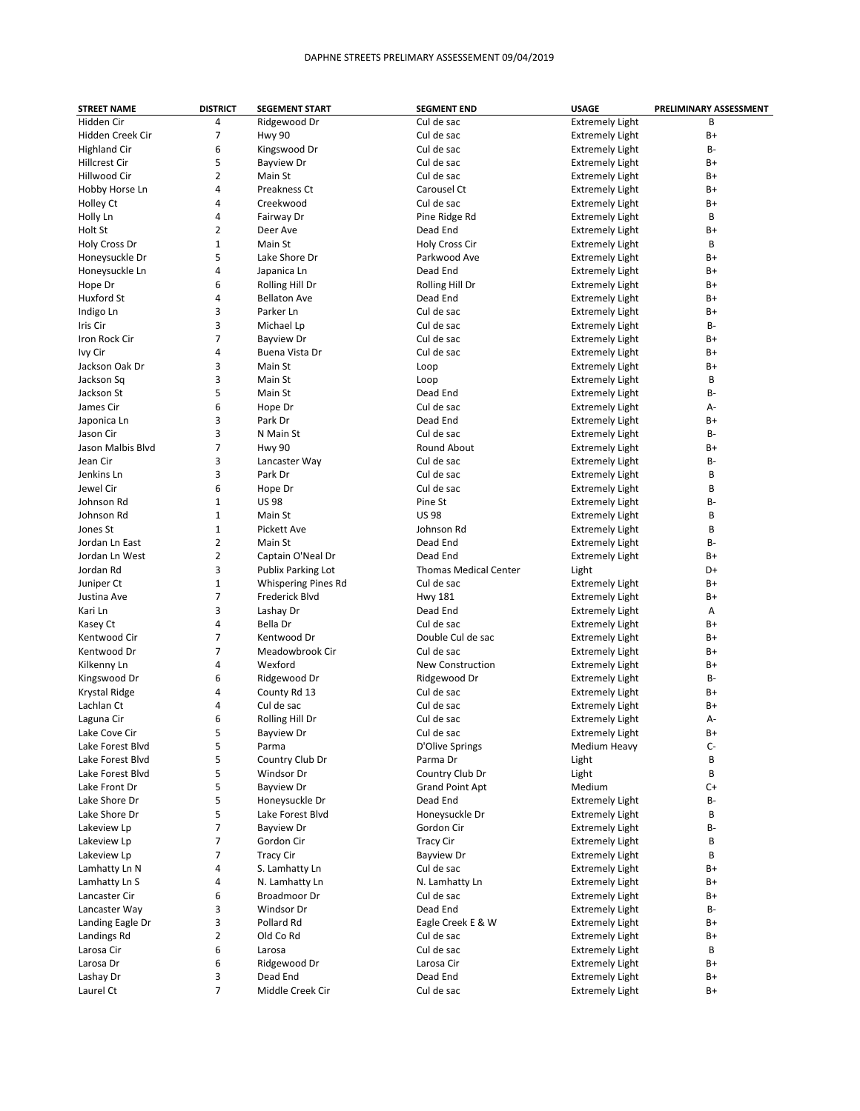| <b>STREET NAME</b>   | <b>DISTRICT</b> | <b>SEGEMENT START</b>      | <b>SEGMENT END</b>           | <b>USAGE</b>           | PRELIMINARY ASSESSMENT |
|----------------------|-----------------|----------------------------|------------------------------|------------------------|------------------------|
| Hidden Cir           | 4               | Ridgewood Dr               | Cul de sac                   | <b>Extremely Light</b> | B                      |
| Hidden Creek Cir     | 7               | <b>Hwy 90</b>              | Cul de sac                   | <b>Extremely Light</b> | B+                     |
| <b>Highland Cir</b>  | 6               | Kingswood Dr               | Cul de sac                   | <b>Extremely Light</b> | B-                     |
| <b>Hillcrest Cir</b> | 5               | <b>Bayview Dr</b>          | Cul de sac                   | <b>Extremely Light</b> | B+                     |
| Hillwood Cir         | $\overline{2}$  | Main St                    | Cul de sac                   | <b>Extremely Light</b> | B+                     |
| Hobby Horse Ln       | 4               | Preakness Ct               | Carousel Ct                  | <b>Extremely Light</b> | B+                     |
| Holley Ct            | 4               | Creekwood                  | Cul de sac                   | <b>Extremely Light</b> | B+                     |
| Holly Ln             | 4               | Fairway Dr                 | Pine Ridge Rd                |                        | B                      |
|                      |                 |                            |                              | <b>Extremely Light</b> |                        |
| Holt St              | 2               | Deer Ave                   | Dead End                     | <b>Extremely Light</b> | $B+$                   |
| Holy Cross Dr        | $\mathbf{1}$    | Main St                    | Holy Cross Cir               | <b>Extremely Light</b> | B                      |
| Honeysuckle Dr       | 5               | Lake Shore Dr              | Parkwood Ave                 | <b>Extremely Light</b> | B+                     |
| Honeysuckle Ln       | 4               | Japanica Ln                | Dead End                     | <b>Extremely Light</b> | B+                     |
| Hope Dr              | 6               | Rolling Hill Dr            | Rolling Hill Dr              | <b>Extremely Light</b> | B+                     |
| Huxford St           | 4               | <b>Bellaton Ave</b>        | Dead End                     | <b>Extremely Light</b> | B+                     |
| Indigo Ln            | 3               | Parker Ln                  | Cul de sac                   | <b>Extremely Light</b> | B+                     |
| Iris Cir             | 3               | Michael Lp                 | Cul de sac                   | <b>Extremely Light</b> | В-                     |
| Iron Rock Cir        | 7               | <b>Bayview Dr</b>          | Cul de sac                   | <b>Extremely Light</b> | B+                     |
| Ivy Cir              | 4               | Buena Vista Dr             | Cul de sac                   | <b>Extremely Light</b> | $B+$                   |
| Jackson Oak Dr       | 3               | Main St                    | Loop                         | <b>Extremely Light</b> | $B+$                   |
| Jackson Sq           | 3               | Main St                    | Loop                         | <b>Extremely Light</b> | B                      |
| Jackson St           | 5               | Main St                    | Dead End                     | <b>Extremely Light</b> | B-                     |
|                      | 6               |                            | Cul de sac                   |                        |                        |
| James Cir            |                 | Hope Dr                    |                              | <b>Extremely Light</b> | А-                     |
| Japonica Ln          | 3               | Park Dr                    | Dead End                     | <b>Extremely Light</b> | B+                     |
| Jason Cir            | 3               | N Main St                  | Cul de sac                   | <b>Extremely Light</b> | B-                     |
| Jason Malbis Blyd    | 7               | <b>Hwy 90</b>              | Round About                  | <b>Extremely Light</b> | B+                     |
| Jean Cir             | 3               | Lancaster Way              | Cul de sac                   | <b>Extremely Light</b> | B-                     |
| Jenkins Ln           | 3               | Park Dr                    | Cul de sac                   | <b>Extremely Light</b> | B                      |
| Jewel Cir            | 6               | Hope Dr                    | Cul de sac                   | <b>Extremely Light</b> | B                      |
| Johnson Rd           | $\mathbf{1}$    | <b>US98</b>                | Pine St                      | <b>Extremely Light</b> | <b>B-</b>              |
| Johnson Rd           | 1               | Main St                    | <b>US98</b>                  | <b>Extremely Light</b> | B                      |
| Jones St             | $\mathbf{1}$    | Pickett Ave                | Johnson Rd                   | <b>Extremely Light</b> | B                      |
| Jordan Ln East       | 2               | Main St                    | Dead End                     | <b>Extremely Light</b> | B-                     |
| Jordan Ln West       | 2               | Captain O'Neal Dr          | Dead End                     | <b>Extremely Light</b> | B+                     |
| Jordan Rd            | 3               | Publix Parking Lot         | <b>Thomas Medical Center</b> | Light                  | D+                     |
| Juniper Ct           | $\mathbf{1}$    | <b>Whispering Pines Rd</b> | Cul de sac                   | <b>Extremely Light</b> | B+                     |
|                      | 7               |                            |                              |                        | B+                     |
| Justina Ave          |                 | Frederick Blvd             | <b>Hwy 181</b>               | <b>Extremely Light</b> |                        |
| Kari Ln              | 3               | Lashay Dr                  | Dead End                     | <b>Extremely Light</b> | Α                      |
| Kasey Ct             | 4               | Bella Dr                   | Cul de sac                   | <b>Extremely Light</b> | B+                     |
| Kentwood Cir         | 7               | Kentwood Dr                | Double Cul de sac            | <b>Extremely Light</b> | B+                     |
| Kentwood Dr          | 7               | Meadowbrook Cir            | Cul de sac                   | <b>Extremely Light</b> | $B+$                   |
| Kilkenny Ln          | 4               | Wexford                    | <b>New Construction</b>      | <b>Extremely Light</b> | B+                     |
| Kingswood Dr         | 6               | Ridgewood Dr               | Ridgewood Dr                 | <b>Extremely Light</b> | B-                     |
| Krystal Ridge        | 4               | County Rd 13               | Cul de sac                   | <b>Extremely Light</b> | B+                     |
| Lachlan Ct           | 4               | Cul de sac                 | Cul de sac                   | <b>Extremely Light</b> | B+                     |
| Laguna Cir           | 6               | Rolling Hill Dr            | Cul de sac                   | <b>Extremely Light</b> | А-                     |
| Lake Cove Cir        |                 | Bayview Dr                 | Cul de sac                   | <b>Extremely Light</b> | $B+$                   |
| Lake Forest Blvd     | 5               | Parma                      | D'Olive Springs              | Medium Heavy           | $C-$                   |
| Lake Forest Blvd     | 5               | Country Club Dr            | Parma Dr                     | Light                  | B                      |
| Lake Forest Blvd     | 5               | Windsor Dr                 | Country Club Dr              | Light                  | В                      |
| Lake Front Dr        | 5               | <b>Bayview Dr</b>          | <b>Grand Point Apt</b>       | Medium                 | $C+$                   |
|                      | 5               |                            |                              |                        |                        |
| Lake Shore Dr        |                 | Honeysuckle Dr             | Dead End                     | <b>Extremely Light</b> | B-                     |
| Lake Shore Dr        | 5               | Lake Forest Blvd           | Honeysuckle Dr               | <b>Extremely Light</b> | В                      |
| Lakeview Lp          | 7               | <b>Bayview Dr</b>          | Gordon Cir                   | <b>Extremely Light</b> | B-                     |
| Lakeview Lp          | 7               | Gordon Cir                 | <b>Tracy Cir</b>             | <b>Extremely Light</b> | В                      |
| Lakeview Lp          | 7               | <b>Tracy Cir</b>           | <b>Bayview Dr</b>            | <b>Extremely Light</b> | В                      |
| Lamhatty Ln N        | 4               | S. Lamhatty Ln             | Cul de sac                   | <b>Extremely Light</b> | $B+$                   |
| Lamhatty Ln S        | 4               | N. Lamhatty Ln             | N. Lamhatty Ln               | <b>Extremely Light</b> | $B+$                   |
| Lancaster Cir        | 6               | Broadmoor Dr               | Cul de sac                   | <b>Extremely Light</b> | B+                     |
| Lancaster Way        | 3               | Windsor Dr                 | Dead End                     | <b>Extremely Light</b> | В-                     |
| Landing Eagle Dr     | 3               | Pollard Rd                 | Eagle Creek E & W            | <b>Extremely Light</b> | B+                     |
| Landings Rd          | 2               | Old Co Rd                  | Cul de sac                   | <b>Extremely Light</b> | $B+$                   |
| Larosa Cir           | 6               | Larosa                     | Cul de sac                   | <b>Extremely Light</b> | В                      |
| Larosa Dr            | 6               | Ridgewood Dr               | Larosa Cir                   | <b>Extremely Light</b> | B+                     |
| Lashay Dr            | 3               | Dead End                   | Dead End                     | <b>Extremely Light</b> | B+                     |
|                      |                 |                            |                              |                        |                        |
| Laurel Ct            | 7               | Middle Creek Cir           | Cul de sac                   | <b>Extremely Light</b> | B+                     |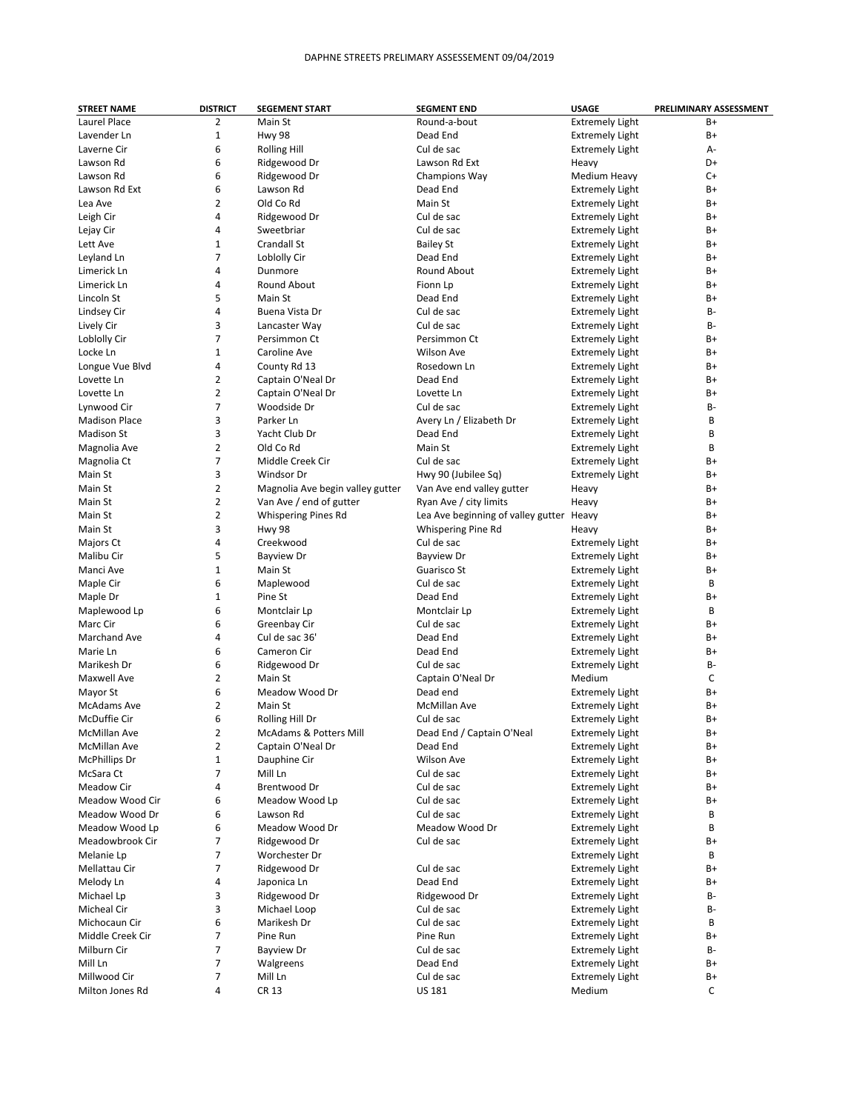| <b>STREET NAME</b>   | <b>DISTRICT</b> | <b>SEGEMENT START</b>            | <b>SEGMENT END</b>                       | <b>USAGE</b>           | PRELIMINARY ASSESSMENT |
|----------------------|-----------------|----------------------------------|------------------------------------------|------------------------|------------------------|
| Laurel Place         | 2               | Main St                          | Round-a-bout                             | <b>Extremely Light</b> | B+                     |
| Lavender Ln          | 1               | <b>Hwy 98</b>                    | Dead End                                 | <b>Extremely Light</b> | B+                     |
| Laverne Cir          | 6               | <b>Rolling Hill</b>              | Cul de sac                               | <b>Extremely Light</b> | А-                     |
| Lawson Rd            | 6               | Ridgewood Dr                     | Lawson Rd Ext                            | Heavy                  | D+                     |
| Lawson Rd            | 6               | Ridgewood Dr                     | Champions Way                            | Medium Heavy           | $C+$                   |
| Lawson Rd Ext        | 6               | Lawson Rd                        | Dead End                                 | <b>Extremely Light</b> | B+                     |
| Lea Ave              | $\overline{2}$  | Old Co Rd                        | Main St                                  | <b>Extremely Light</b> | B+                     |
|                      | 4               |                                  | Cul de sac                               |                        | B+                     |
| Leigh Cir            |                 | Ridgewood Dr                     |                                          | <b>Extremely Light</b> |                        |
| Lejay Cir            | 4               | Sweetbriar                       | Cul de sac                               | <b>Extremely Light</b> | B+                     |
| Lett Ave             | $\mathbf{1}$    | Crandall St                      | <b>Bailey St</b>                         | <b>Extremely Light</b> | B+                     |
| Leyland Ln           | 7               | Loblolly Cir                     | Dead End                                 | <b>Extremely Light</b> | B+                     |
| Limerick Ln          | 4               | Dunmore                          | <b>Round About</b>                       | <b>Extremely Light</b> | B+                     |
| Limerick Ln          | 4               | Round About                      | Fionn Lp                                 | <b>Extremely Light</b> | B+                     |
| Lincoln St           | 5               | Main St                          | Dead End                                 | <b>Extremely Light</b> | B+                     |
| Lindsey Cir          | 4               | Buena Vista Dr                   | Cul de sac                               | <b>Extremely Light</b> | <b>B-</b>              |
| Lively Cir           | 3               | Lancaster Way                    | Cul de sac                               | <b>Extremely Light</b> | B-                     |
| Loblolly Cir         | 7               | Persimmon Ct                     | Persimmon Ct                             | <b>Extremely Light</b> | B+                     |
| Locke Ln             | 1               | Caroline Ave                     | <b>Wilson Ave</b>                        | <b>Extremely Light</b> | B+                     |
| Longue Vue Blvd      | 4               | County Rd 13                     | Rosedown Ln                              | <b>Extremely Light</b> | B+                     |
| Lovette Ln           | 2               | Captain O'Neal Dr                | Dead End                                 | <b>Extremely Light</b> | B+                     |
| Lovette Ln           | 2               | Captain O'Neal Dr                | Lovette Ln                               | <b>Extremely Light</b> | B+                     |
| Lynwood Cir          | 7               | Woodside Dr                      | Cul de sac                               |                        | <b>B-</b>              |
|                      |                 |                                  |                                          | <b>Extremely Light</b> |                        |
| <b>Madison Place</b> | 3               | Parker Ln                        | Avery Ln / Elizabeth Dr                  | <b>Extremely Light</b> | B                      |
| <b>Madison St</b>    | 3               | Yacht Club Dr                    | Dead End                                 | <b>Extremely Light</b> | B                      |
| Magnolia Ave         | 2               | Old Co Rd                        | Main St                                  | <b>Extremely Light</b> | B                      |
| Magnolia Ct          | 7               | Middle Creek Cir                 | Cul de sac                               | <b>Extremely Light</b> | B+                     |
| Main St              | 3               | Windsor Dr                       | Hwy 90 (Jubilee Sq)                      | <b>Extremely Light</b> | B+                     |
| Main St              | $\overline{2}$  | Magnolia Ave begin valley gutter | Van Ave end valley gutter                | Heavy                  | B+                     |
| Main St              | $\overline{2}$  | Van Ave / end of gutter          | Ryan Ave / city limits                   | Heavy                  | B+                     |
| Main St              | 2               | <b>Whispering Pines Rd</b>       | Lea Ave beginning of valley gutter Heavy |                        | B+                     |
| Main St              | 3               | <b>Hwy 98</b>                    | Whispering Pine Rd                       | Heavy                  | B+                     |
| Majors Ct            | 4               | Creekwood                        | Cul de sac                               | <b>Extremely Light</b> | B+                     |
| Malibu Cir           | 5               | <b>Bayview Dr</b>                | <b>Bayview Dr</b>                        | <b>Extremely Light</b> | B+                     |
| Manci Ave            | 1               | Main St                          | Guarisco St                              | <b>Extremely Light</b> | B+                     |
| Maple Cir            | 6               | Maplewood                        | Cul de sac                               | <b>Extremely Light</b> | B                      |
| Maple Dr             | $\mathbf{1}$    | Pine St                          | Dead End                                 | <b>Extremely Light</b> | B+                     |
| Maplewood Lp         | 6               | Montclair Lp                     | Montclair Lp                             | <b>Extremely Light</b> | B                      |
|                      |                 |                                  |                                          |                        |                        |
| Marc Cir             | 6               | Greenbay Cir                     | Cul de sac                               | <b>Extremely Light</b> | B+                     |
| Marchand Ave         | 4               | Cul de sac 36'                   | Dead End                                 | <b>Extremely Light</b> | B+                     |
| Marie Ln             | 6               | Cameron Cir                      | Dead End                                 | <b>Extremely Light</b> | B+                     |
| Marikesh Dr          | 6               | Ridgewood Dr                     | Cul de sac                               | <b>Extremely Light</b> | <b>B-</b>              |
| Maxwell Ave          | 2               | Main St                          | Captain O'Neal Dr                        | Medium                 | С                      |
| Mayor St             | 6               | Meadow Wood Dr                   | Dead end                                 | <b>Extremely Light</b> | B+                     |
| <b>McAdams Ave</b>   | 2               | Main St                          | McMillan Ave                             | <b>Extremely Light</b> | B+                     |
| McDuffie Cir         | 6               | Rolling Hill Dr                  | Cul de sac                               | <b>Extremely Light</b> | B+                     |
| McMillan Ave         | 2               | McAdams & Potters Mill           | Dead End / Captain O'Neal                | <b>Extremely Light</b> | B+                     |
| McMillan Ave         | 2               | Captain O'Neal Dr                | Dead End                                 | <b>Extremely Light</b> | B+                     |
| <b>McPhillips Dr</b> | $\mathbf{1}$    | Dauphine Cir                     | Wilson Ave                               | <b>Extremely Light</b> | B+                     |
| McSara Ct            | 7               | Mill Ln                          | Cul de sac                               | <b>Extremely Light</b> | B+                     |
| Meadow Cir           | 4               | Brentwood Dr                     | Cul de sac                               | <b>Extremely Light</b> | B+                     |
| Meadow Wood Cir      | 6               | Meadow Wood Lp                   | Cul de sac                               | <b>Extremely Light</b> | B+                     |
| Meadow Wood Dr       | 6               | Lawson Rd                        | Cul de sac                               | <b>Extremely Light</b> | В                      |
| Meadow Wood Lp       | 6               | Meadow Wood Dr                   | Meadow Wood Dr                           | <b>Extremely Light</b> | В                      |
|                      |                 |                                  |                                          |                        |                        |
| Meadowbrook Cir      | 7               | Ridgewood Dr                     | Cul de sac                               | <b>Extremely Light</b> | B+                     |
| Melanie Lp           | 7               | Worchester Dr                    |                                          | <b>Extremely Light</b> | В                      |
| Mellattau Cir        | 7               | Ridgewood Dr                     | Cul de sac                               | <b>Extremely Light</b> | B+                     |
| Melody Ln            | 4               | Japonica Ln                      | Dead End                                 | <b>Extremely Light</b> | B+                     |
| Michael Lp           | 3               | Ridgewood Dr                     | Ridgewood Dr                             | <b>Extremely Light</b> | В-                     |
| Micheal Cir          | 3               | Michael Loop                     | Cul de sac                               | <b>Extremely Light</b> | <b>B-</b>              |
| Michocaun Cir        | 6               | Marikesh Dr                      | Cul de sac                               | <b>Extremely Light</b> | В                      |
| Middle Creek Cir     | 7               | Pine Run                         | Pine Run                                 | <b>Extremely Light</b> | B+                     |
| Milburn Cir          | 7               | <b>Bayview Dr</b>                | Cul de sac                               | <b>Extremely Light</b> | В-                     |
| Mill Ln              | 7               | Walgreens                        | Dead End                                 | <b>Extremely Light</b> | B+                     |
| Millwood Cir         | 7               | Mill Ln                          | Cul de sac                               | <b>Extremely Light</b> | B+                     |
| Milton Jones Rd      | 4               | CR 13                            | <b>US 181</b>                            | Medium                 | С                      |
|                      |                 |                                  |                                          |                        |                        |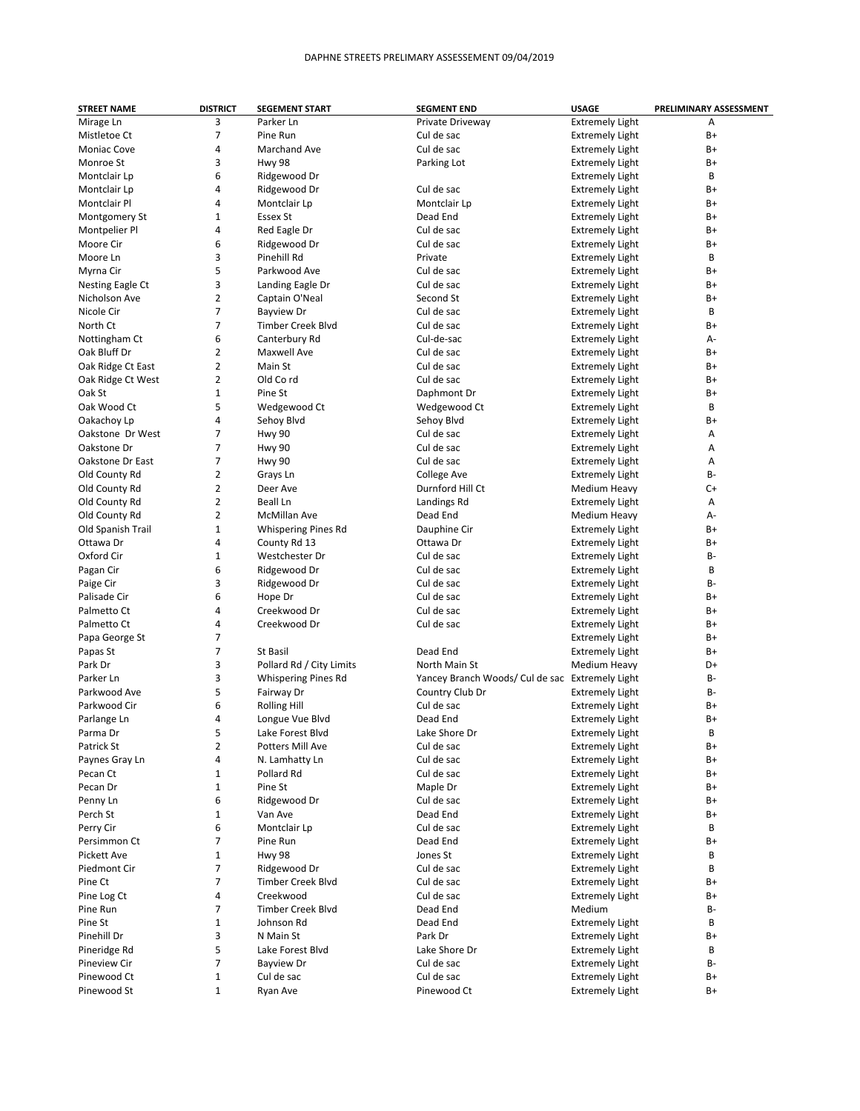| <b>STREET NAME</b> | <b>DISTRICT</b> | <b>SEGEMENT START</b>      | <b>SEGMENT END</b>                              | <b>USAGE</b>           | PRELIMINARY ASSESSMENT |
|--------------------|-----------------|----------------------------|-------------------------------------------------|------------------------|------------------------|
| Mirage Ln          | 3               | Parker Ln                  | Private Driveway                                | <b>Extremely Light</b> | A                      |
| Mistletoe Ct       | 7               | Pine Run                   | Cul de sac                                      | <b>Extremely Light</b> | B+                     |
| <b>Moniac Cove</b> | 4               | Marchand Ave               | Cul de sac                                      | <b>Extremely Light</b> | B+                     |
| Monroe St          | 3               | <b>Hwy 98</b>              | Parking Lot                                     | <b>Extremely Light</b> | B+                     |
| Montclair Lp       | 6               | Ridgewood Dr               |                                                 | <b>Extremely Light</b> | B                      |
| Montclair Lp       | 4               | Ridgewood Dr               | Cul de sac                                      | <b>Extremely Light</b> | B+                     |
| Montclair Pl       | 4               | Montclair Lp               | Montclair Lp                                    | <b>Extremely Light</b> | B+                     |
| Montgomery St      | $\mathbf{1}$    | Essex St                   | Dead End                                        | <b>Extremely Light</b> | B+                     |
| Montpelier Pl      | 4               | Red Eagle Dr               | Cul de sac                                      | <b>Extremely Light</b> | B+                     |
|                    | 6               | Ridgewood Dr               | Cul de sac                                      |                        | B+                     |
| Moore Cir          |                 |                            |                                                 | <b>Extremely Light</b> |                        |
| Moore Ln           | 3               | Pinehill Rd                | Private                                         | <b>Extremely Light</b> | В                      |
| Myrna Cir          | 5               | Parkwood Ave               | Cul de sac                                      | <b>Extremely Light</b> | B+                     |
| Nesting Eagle Ct   | 3               | Landing Eagle Dr           | Cul de sac                                      | <b>Extremely Light</b> | B+                     |
| Nicholson Ave      | $\overline{2}$  | Captain O'Neal             | Second St                                       | <b>Extremely Light</b> | B+                     |
| Nicole Cir         | $\overline{7}$  | <b>Bayview Dr</b>          | Cul de sac                                      | <b>Extremely Light</b> | B                      |
| North Ct           | $\overline{7}$  | <b>Timber Creek Blvd</b>   | Cul de sac                                      | <b>Extremely Light</b> | B+                     |
| Nottingham Ct      | 6               | Canterbury Rd              | Cul-de-sac                                      | <b>Extremely Light</b> | А-                     |
| Oak Bluff Dr       | $\overline{2}$  | Maxwell Ave                | Cul de sac                                      | <b>Extremely Light</b> | B+                     |
| Oak Ridge Ct East  | $\overline{2}$  | Main St                    | Cul de sac                                      | <b>Extremely Light</b> | B+                     |
| Oak Ridge Ct West  | $\overline{2}$  | Old Cord                   | Cul de sac                                      | <b>Extremely Light</b> | B+                     |
| Oak St             | $\mathbf{1}$    | Pine St                    | Daphmont Dr                                     | <b>Extremely Light</b> | B+                     |
| Oak Wood Ct        | 5               | Wedgewood Ct               | Wedgewood Ct                                    | <b>Extremely Light</b> | В                      |
| Oakachoy Lp        | 4               | Sehoy Blvd                 | Sehoy Blvd                                      | <b>Extremely Light</b> | B+                     |
| Oakstone Dr West   | $\overline{7}$  | <b>Hwy 90</b>              | Cul de sac                                      | <b>Extremely Light</b> | Α                      |
| Oakstone Dr        | $\overline{7}$  | Hwy 90                     | Cul de sac                                      | <b>Extremely Light</b> | Α                      |
| Oakstone Dr East   | $\overline{7}$  | <b>Hwy 90</b>              | Cul de sac                                      | <b>Extremely Light</b> | А                      |
| Old County Rd      | $\overline{2}$  | Grays Ln                   | College Ave                                     | <b>Extremely Light</b> | В-                     |
| Old County Rd      | $\overline{2}$  | Deer Ave                   | Durnford Hill Ct                                | Medium Heavy           | C+                     |
| Old County Rd      | $\overline{2}$  | Beall Ln                   | Landings Rd                                     | <b>Extremely Light</b> | Α                      |
| Old County Rd      | $\overline{2}$  | <b>McMillan Ave</b>        | Dead End                                        | Medium Heavy           | А-                     |
| Old Spanish Trail  | $\mathbf{1}$    | <b>Whispering Pines Rd</b> | Dauphine Cir                                    | <b>Extremely Light</b> | B+                     |
| Ottawa Dr          | 4               | County Rd 13               | Ottawa Dr                                       | <b>Extremely Light</b> | B+                     |
| Oxford Cir         | 1               | Westchester Dr             | Cul de sac                                      | <b>Extremely Light</b> | В-                     |
| Pagan Cir          | 6               | Ridgewood Dr               | Cul de sac                                      | <b>Extremely Light</b> | B                      |
| Paige Cir          | 3               | Ridgewood Dr               | Cul de sac                                      | <b>Extremely Light</b> | В-                     |
| Palisade Cir       | 6               | Hope Dr                    | Cul de sac                                      | <b>Extremely Light</b> | B+                     |
| Palmetto Ct        | 4               | Creekwood Dr               | Cul de sac                                      | <b>Extremely Light</b> | B+                     |
| Palmetto Ct        | 4               | Creekwood Dr               | Cul de sac                                      | <b>Extremely Light</b> | B+                     |
| Papa George St     | $\overline{7}$  |                            |                                                 | <b>Extremely Light</b> | B+                     |
| Papas St           | 7               | St Basil                   | Dead End                                        | <b>Extremely Light</b> | B+                     |
| Park Dr            | 3               |                            | North Main St                                   |                        | D+                     |
| Parker Ln          | 3               | Pollard Rd / City Limits   |                                                 | Medium Heavy           | В-                     |
|                    |                 | <b>Whispering Pines Rd</b> | Yancey Branch Woods/ Cul de sac Extremely Light |                        |                        |
| Parkwood Ave       | 5               | Fairway Dr                 | Country Club Dr                                 | <b>Extremely Light</b> | В-                     |
| Parkwood Cir       | 6               | <b>Rolling Hill</b>        | Cul de sac                                      | <b>Extremely Light</b> | B+                     |
| Parlange Ln        | 4               | Longue Vue Blvd            | Dead End                                        | <b>Extremely Light</b> | B+                     |
| Parma Dr           | 5               | Lake Forest Blvd           | Lake Shore Dr                                   | <b>Extremely Light</b> | В                      |
| Patrick St         | 2               | Potters Mill Ave           | Cul de sac                                      | <b>Extremely Light</b> | B+                     |
| Paynes Gray Ln     | 4               | N. Lamhatty Ln             | Cul de sac                                      | <b>Extremely Light</b> | B+                     |
| Pecan Ct           | 1               | Pollard Rd                 | Cul de sac                                      | <b>Extremely Light</b> | B+                     |
| Pecan Dr           | 1               | Pine St                    | Maple Dr                                        | <b>Extremely Light</b> | B+                     |
| Penny Ln           | 6               | Ridgewood Dr               | Cul de sac                                      | <b>Extremely Light</b> | B+                     |
| Perch St           | $\mathbf 1$     | Van Ave                    | Dead End                                        | <b>Extremely Light</b> | B+                     |
| Perry Cir          | 6               | Montclair Lp               | Cul de sac                                      | <b>Extremely Light</b> | В                      |
| Persimmon Ct       | 7               | Pine Run                   | Dead End                                        | <b>Extremely Light</b> | B+                     |
| Pickett Ave        | 1               | <b>Hwy 98</b>              | Jones St                                        | <b>Extremely Light</b> | В                      |
| Piedmont Cir       | 7               | Ridgewood Dr               | Cul de sac                                      | <b>Extremely Light</b> | В                      |
| Pine Ct            | $\overline{7}$  | <b>Timber Creek Blvd</b>   | Cul de sac                                      | <b>Extremely Light</b> | B+                     |
| Pine Log Ct        | 4               | Creekwood                  | Cul de sac                                      | <b>Extremely Light</b> | B+                     |
| Pine Run           | 7               | <b>Timber Creek Blvd</b>   | Dead End                                        | Medium                 | B-                     |
| Pine St            | 1               | Johnson Rd                 | Dead End                                        | <b>Extremely Light</b> | В                      |
| Pinehill Dr        | 3               | N Main St                  | Park Dr                                         | <b>Extremely Light</b> | B+                     |
| Pineridge Rd       | 5               | Lake Forest Blvd           | Lake Shore Dr                                   | <b>Extremely Light</b> | В                      |
| Pineview Cir       | 7               | <b>Bayview Dr</b>          | Cul de sac                                      | <b>Extremely Light</b> | В-                     |
| Pinewood Ct        | $\mathbf{1}$    | Cul de sac                 | Cul de sac                                      | <b>Extremely Light</b> | B+                     |
| Pinewood St        | $\mathbf{1}$    | Ryan Ave                   | Pinewood Ct                                     | <b>Extremely Light</b> | B+                     |
|                    |                 |                            |                                                 |                        |                        |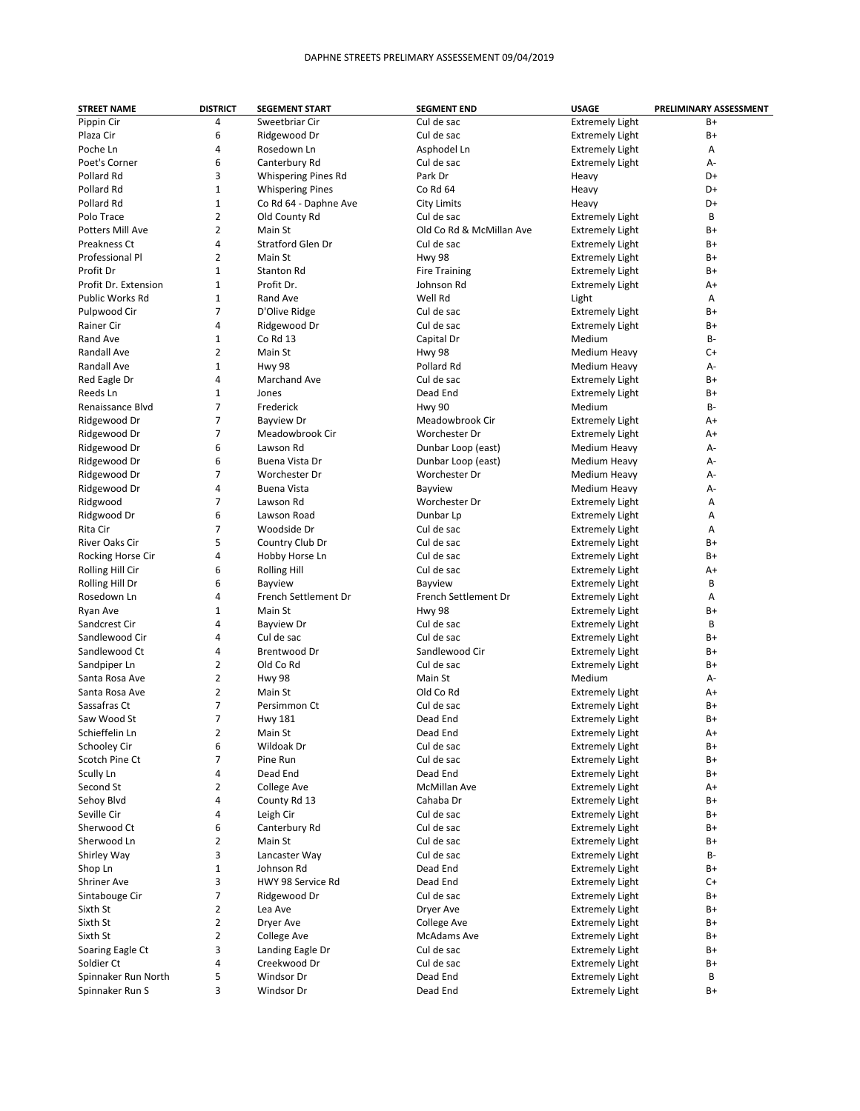| <b>STREET NAME</b>     | <b>DISTRICT</b> | <b>SEGEMENT START</b>    | <b>SEGMENT END</b>       | <b>USAGE</b>           | PRELIMINARY ASSESSMENT |
|------------------------|-----------------|--------------------------|--------------------------|------------------------|------------------------|
| Pippin Cir             | 4               | Sweetbriar Cir           | Cul de sac               | <b>Extremely Light</b> | B+                     |
| Plaza Cir              | 6               | Ridgewood Dr             | Cul de sac               | <b>Extremely Light</b> | B+                     |
| Poche Ln               | 4               | Rosedown Ln              | Asphodel Ln              | <b>Extremely Light</b> | А                      |
| Poet's Corner          | 6               | Canterbury Rd            | Cul de sac               | <b>Extremely Light</b> | А-                     |
| Pollard Rd             | 3               | Whispering Pines Rd      | Park Dr                  | Heavy                  | D+                     |
| Pollard Rd             | 1               | <b>Whispering Pines</b>  | Co Rd 64                 | Heavy                  | D+                     |
| Pollard Rd             | 1               | Co Rd 64 - Daphne Ave    | <b>City Limits</b>       | Heavy                  | D+                     |
| Polo Trace             | $\overline{2}$  | Old County Rd            | Cul de sac               |                        | B                      |
|                        |                 |                          |                          | <b>Extremely Light</b> |                        |
| Potters Mill Ave       | 2               | Main St                  | Old Co Rd & McMillan Ave | <b>Extremely Light</b> | B+                     |
| Preakness Ct           | 4               | <b>Stratford Glen Dr</b> | Cul de sac               | <b>Extremely Light</b> | B+                     |
| <b>Professional Pl</b> | $\overline{2}$  | Main St                  | Hwy 98                   | <b>Extremely Light</b> | B+                     |
| Profit Dr              | 1               | <b>Stanton Rd</b>        | <b>Fire Training</b>     | <b>Extremely Light</b> | B+                     |
| Profit Dr. Extension   | $\mathbf{1}$    | Profit Dr.               | Johnson Rd               | <b>Extremely Light</b> | A+                     |
| Public Works Rd        | 1               | Rand Ave                 | Well Rd                  | Light                  | Α                      |
| Pulpwood Cir           | 7               | D'Olive Ridge            | Cul de sac               | <b>Extremely Light</b> | B+                     |
| Rainer Cir             | 4               | Ridgewood Dr             | Cul de sac               | <b>Extremely Light</b> | B+                     |
| Rand Ave               | 1               | Co Rd 13                 | Capital Dr               | Medium                 | <b>B-</b>              |
| Randall Ave            | 2               | Main St                  | Hwy 98                   | Medium Heavy           | C+                     |
| Randall Ave            | 1               | <b>Hwy 98</b>            | Pollard Rd               | Medium Heavy           | А-                     |
| Red Eagle Dr           | 4               | Marchand Ave             | Cul de sac               | <b>Extremely Light</b> | B+                     |
| Reeds Ln               | $\mathbf{1}$    | Jones                    | Dead End                 | <b>Extremely Light</b> | B+                     |
| Renaissance Blvd       | 7               | Frederick                | Hwy 90                   | Medium                 | <b>B-</b>              |
| Ridgewood Dr           | $\overline{7}$  | <b>Bayview Dr</b>        | Meadowbrook Cir          | <b>Extremely Light</b> | A+                     |
| Ridgewood Dr           | 7               | Meadowbrook Cir          | Worchester Dr            | <b>Extremely Light</b> | A+                     |
| Ridgewood Dr           | 6               | Lawson Rd                |                          |                        | А-                     |
|                        |                 |                          | Dunbar Loop (east)       | Medium Heavy           |                        |
| Ridgewood Dr           | 6               | Buena Vista Dr           | Dunbar Loop (east)       | Medium Heavy           | А-                     |
| Ridgewood Dr           | 7               | Worchester Dr            | Worchester Dr            | Medium Heavy           | А-                     |
| Ridgewood Dr           | 4               | <b>Buena Vista</b>       | Bayview                  | Medium Heavy           | А-                     |
| Ridgwood               | 7               | Lawson Rd                | Worchester Dr            | <b>Extremely Light</b> | Α                      |
| Ridgwood Dr            | 6               | Lawson Road              | Dunbar Lp                | <b>Extremely Light</b> | Α                      |
| Rita Cir               | 7               | Woodside Dr              | Cul de sac               | <b>Extremely Light</b> | А                      |
| <b>River Oaks Cir</b>  | 5               | Country Club Dr          | Cul de sac               | <b>Extremely Light</b> | B+                     |
| Rocking Horse Cir      | 4               | Hobby Horse Ln           | Cul de sac               | <b>Extremely Light</b> | B+                     |
| Rolling Hill Cir       | 6               | <b>Rolling Hill</b>      | Cul de sac               | <b>Extremely Light</b> | A+                     |
| Rolling Hill Dr        | 6               | Bayview                  | Bayview                  | <b>Extremely Light</b> | B                      |
| Rosedown Ln            | 4               | French Settlement Dr     | French Settlement Dr     | <b>Extremely Light</b> | Α                      |
| Ryan Ave               | 1               | Main St                  | Hwy 98                   | <b>Extremely Light</b> | $B+$                   |
| Sandcrest Cir          | 4               | <b>Bayview Dr</b>        | Cul de sac               | <b>Extremely Light</b> | B                      |
| Sandlewood Cir         | 4               | Cul de sac               | Cul de sac               | <b>Extremely Light</b> | B+                     |
| Sandlewood Ct          | 4               | Brentwood Dr             | Sandlewood Cir           | <b>Extremely Light</b> | B+                     |
| Sandpiper Ln           | 2               | Old Co Rd                | Cul de sac               | <b>Extremely Light</b> | B+                     |
| Santa Rosa Ave         | 2               | <b>Hwy 98</b>            | Main St                  | Medium                 | А-                     |
| Santa Rosa Ave         | 2               | Main St                  | Old Co Rd                | <b>Extremely Light</b> | A+                     |
| Sassafras Ct           | 7               | Persimmon Ct             | Cul de sac               |                        | B+                     |
|                        | 7               |                          |                          | <b>Extremely Light</b> | $B+$                   |
| Saw Wood St            |                 | <b>Hwy 181</b>           | Dead End                 | <b>Extremely Light</b> |                        |
| Schieffelin Ln         | 2               | Main St                  | Dead End                 | <b>Extremely Light</b> | A+                     |
| Schooley Cir           | 6               | Wildoak Dr               | Cul de sac               | <b>Extremely Light</b> | B+                     |
| Scotch Pine Ct         | 7               | Pine Run                 | Cul de sac               | <b>Extremely Light</b> | B+                     |
| Scully Ln              | 4               | Dead End                 | Dead End                 | <b>Extremely Light</b> | B+                     |
| Second St              | 2               | College Ave              | McMillan Ave             | <b>Extremely Light</b> | A+                     |
| Sehoy Blvd             | 4               | County Rd 13             | Cahaba Dr                | <b>Extremely Light</b> | B+                     |
| Seville Cir            | 4               | Leigh Cir                | Cul de sac               | <b>Extremely Light</b> | B+                     |
| Sherwood Ct            | 6               | Canterbury Rd            | Cul de sac               | <b>Extremely Light</b> | B+                     |
| Sherwood Ln            | $\overline{2}$  | Main St                  | Cul de sac               | <b>Extremely Light</b> | B+                     |
| Shirley Way            | 3               | Lancaster Way            | Cul de sac               | <b>Extremely Light</b> | В-                     |
| Shop Ln                | 1               | Johnson Rd               | Dead End                 | <b>Extremely Light</b> | B+                     |
| <b>Shriner Ave</b>     | 3               | HWY 98 Service Rd        | Dead End                 | <b>Extremely Light</b> | C+                     |
| Sintabouge Cir         | 7               | Ridgewood Dr             | Cul de sac               | <b>Extremely Light</b> | B+                     |
| Sixth St               | 2               | Lea Ave                  | Dryer Ave                | <b>Extremely Light</b> | B+                     |
| Sixth St               | $\overline{2}$  | Dryer Ave                | College Ave              | <b>Extremely Light</b> | B+                     |
| Sixth St               | 2               | College Ave              | McAdams Ave              | <b>Extremely Light</b> | B+                     |
| Soaring Eagle Ct       | 3               | Landing Eagle Dr         | Cul de sac               | <b>Extremely Light</b> | B+                     |
| Soldier Ct             | 4               | Creekwood Dr             | Cul de sac               | <b>Extremely Light</b> | B+                     |
| Spinnaker Run North    | 5               | Windsor Dr               | Dead End                 | <b>Extremely Light</b> | В                      |
|                        |                 |                          |                          |                        |                        |
| Spinnaker Run S        | 3               | Windsor Dr               | Dead End                 | <b>Extremely Light</b> | B+                     |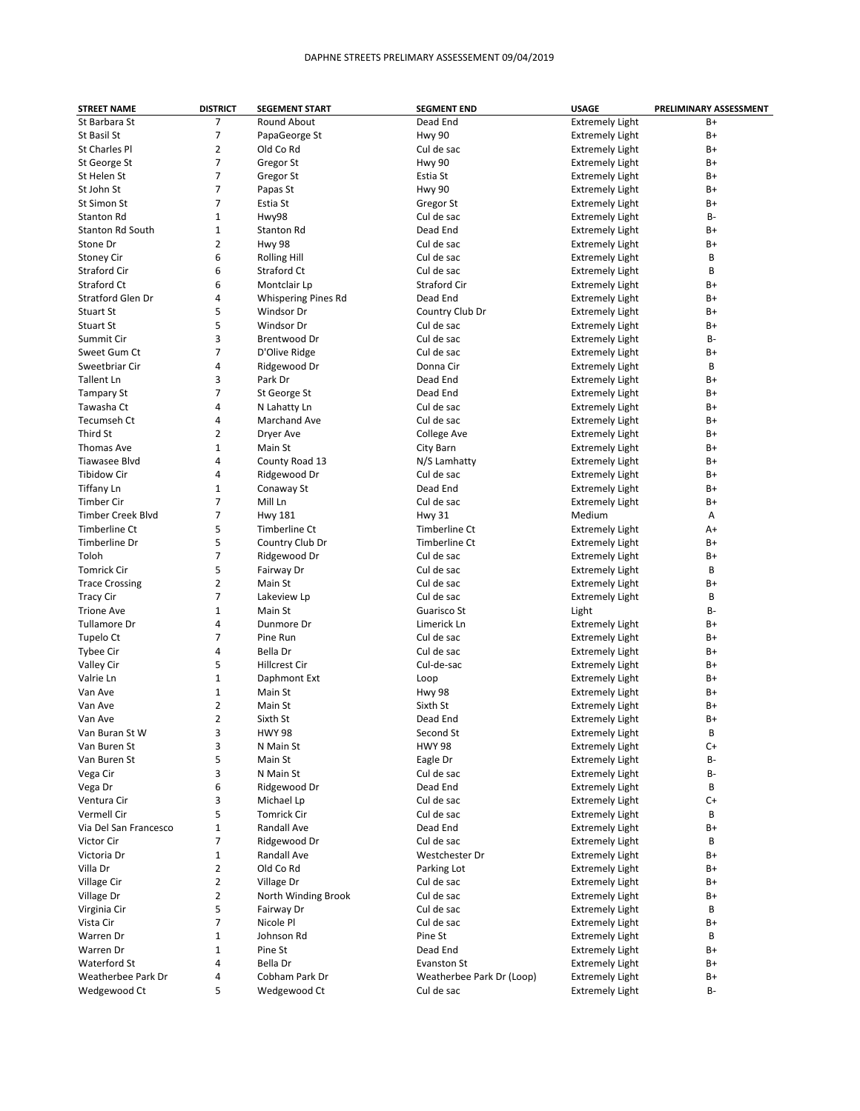| <b>STREET NAME</b>       | <b>DISTRICT</b> | <b>SEGEMENT START</b>      | <b>SEGMENT END</b>        | <b>USAGE</b>           | PRELIMINARY ASSESSMENT |
|--------------------------|-----------------|----------------------------|---------------------------|------------------------|------------------------|
| St Barbara St            | 7               | Round About                | Dead End                  | <b>Extremely Light</b> | $B+$                   |
| St Basil St              | 7               | PapaGeorge St              | <b>Hwy 90</b>             | <b>Extremely Light</b> | B+                     |
| St Charles Pl            | $\overline{2}$  | Old Co Rd                  | Cul de sac                | <b>Extremely Light</b> | B+                     |
| St George St             | 7               | Gregor St                  | <b>Hwy 90</b>             | <b>Extremely Light</b> | B+                     |
| St Helen St              | $\overline{7}$  | Gregor St                  | Estia St                  | <b>Extremely Light</b> | B+                     |
| St John St               | 7               | Papas St                   | <b>Hwy 90</b>             | <b>Extremely Light</b> | B+                     |
| St Simon St              | $\overline{7}$  | Estia St                   | Gregor St                 | <b>Extremely Light</b> | B+                     |
| <b>Stanton Rd</b>        | $\mathbf{1}$    | Hwy98                      | Cul de sac                |                        | B-                     |
|                          |                 |                            |                           | <b>Extremely Light</b> |                        |
| <b>Stanton Rd South</b>  | $\mathbf{1}$    | Stanton Rd                 | Dead End                  | <b>Extremely Light</b> | B+                     |
| Stone Dr                 | $\overline{2}$  | <b>Hwy 98</b>              | Cul de sac                | <b>Extremely Light</b> | $B+$                   |
| <b>Stoney Cir</b>        | 6               | <b>Rolling Hill</b>        | Cul de sac                | <b>Extremely Light</b> | B                      |
| <b>Straford Cir</b>      | 6               | Straford Ct                | Cul de sac                | <b>Extremely Light</b> | B                      |
| Straford Ct              | 6               | Montclair Lp               | <b>Straford Cir</b>       | <b>Extremely Light</b> | $B+$                   |
| <b>Stratford Glen Dr</b> | 4               | <b>Whispering Pines Rd</b> | Dead End                  | <b>Extremely Light</b> | B+                     |
| Stuart St                | 5               | Windsor Dr                 | Country Club Dr           | <b>Extremely Light</b> | B+                     |
| <b>Stuart St</b>         | 5               | Windsor Dr                 | Cul de sac                | <b>Extremely Light</b> | $B+$                   |
| Summit Cir               | 3               | Brentwood Dr               | Cul de sac                | <b>Extremely Light</b> | B-                     |
| Sweet Gum Ct             | $\overline{7}$  | D'Olive Ridge              | Cul de sac                | <b>Extremely Light</b> | B+                     |
| Sweetbriar Cir           | 4               | Ridgewood Dr               | Donna Cir                 | <b>Extremely Light</b> | В                      |
| Tallent Ln               | 3               | Park Dr                    | Dead End                  | <b>Extremely Light</b> | B+                     |
| <b>Tampary St</b>        | $\overline{7}$  | St George St               | Dead End                  | <b>Extremely Light</b> | B+                     |
| Tawasha Ct               | 4               | N Lahatty Ln               | Cul de sac                | <b>Extremely Light</b> | B+                     |
| Tecumseh Ct              | 4               | <b>Marchand Ave</b>        | Cul de sac                | <b>Extremely Light</b> | B+                     |
| Third St                 | $\overline{2}$  | Dryer Ave                  | College Ave               | <b>Extremely Light</b> | $B+$                   |
| <b>Thomas Ave</b>        | $\mathbf{1}$    | Main St                    | City Barn                 | <b>Extremely Light</b> | B+                     |
| Tiawasee Blvd            | 4               | County Road 13             | N/S Lamhatty              | <b>Extremely Light</b> | B+                     |
| <b>Tibidow Cir</b>       | 4               | Ridgewood Dr               | Cul de sac                | <b>Extremely Light</b> | B+                     |
|                          | $\mathbf{1}$    |                            |                           |                        |                        |
| <b>Tiffany Ln</b>        |                 | Conaway St                 | Dead End                  | <b>Extremely Light</b> | B+                     |
| <b>Timber Cir</b>        | $\overline{7}$  | Mill Ln                    | Cul de sac                | <b>Extremely Light</b> | B+                     |
| <b>Timber Creek Blvd</b> | 7               | <b>Hwy 181</b>             | <b>Hwy 31</b>             | Medium                 | Α                      |
| Timberline Ct            | 5               | Timberline Ct              | <b>Timberline Ct</b>      | <b>Extremely Light</b> | A+                     |
| Timberline Dr            | 5               | Country Club Dr            | Timberline Ct             | <b>Extremely Light</b> | $B+$                   |
| Toloh                    | $\overline{7}$  | Ridgewood Dr               | Cul de sac                | <b>Extremely Light</b> | $B+$                   |
| <b>Tomrick Cir</b>       | 5               | Fairway Dr                 | Cul de sac                | <b>Extremely Light</b> | B                      |
| <b>Trace Crossing</b>    | $\overline{2}$  | Main St                    | Cul de sac                | <b>Extremely Light</b> | $B+$                   |
| <b>Tracy Cir</b>         | 7               | Lakeview Lp                | Cul de sac                | <b>Extremely Light</b> | B                      |
| <b>Trione Ave</b>        | $\mathbf{1}$    | Main St                    | Guarisco St               | Light                  | B-                     |
| Tullamore Dr             | 4               | Dunmore Dr                 | Limerick Ln               | <b>Extremely Light</b> | B+                     |
| Tupelo Ct                | $\overline{7}$  | Pine Run                   | Cul de sac                | <b>Extremely Light</b> | B+                     |
| Tybee Cir                | 4               | Bella Dr                   | Cul de sac                | <b>Extremely Light</b> | B+                     |
| Valley Cir               | 5               | <b>Hillcrest Cir</b>       | Cul-de-sac                | <b>Extremely Light</b> | B+                     |
| Valrie Ln                | $\mathbf{1}$    | Daphmont Ext               | Loop                      | <b>Extremely Light</b> | B+                     |
| Van Ave                  | $\mathbf{1}$    | Main St                    | <b>Hwy 98</b>             | <b>Extremely Light</b> | B+                     |
| Van Ave                  | $\overline{2}$  | Main St                    | Sixth St                  | <b>Extremely Light</b> | B+                     |
| Van Ave                  | $\overline{2}$  | Sixth St                   | Dead End                  | <b>Extremely Light</b> | $B+$                   |
| Van Buran St W           | 3               | <b>HWY 98</b>              | Second St                 | <b>Extremely Light</b> | B                      |
| Van Buren St             | 3               | N Main St                  | <b>HWY 98</b>             | <b>Extremely Light</b> | C+                     |
|                          | 5               |                            |                           |                        | B-                     |
| Van Buren St             |                 | Main St                    | Eagle Dr                  | <b>Extremely Light</b> |                        |
| Vega Cir                 | 3               | N Main St                  | Cul de sac                | <b>Extremely Light</b> | В-                     |
| Vega Dr                  | 6               | Ridgewood Dr               | Dead End                  | <b>Extremely Light</b> | В                      |
| Ventura Cir              | 3               | Michael Lp                 | Cul de sac                | <b>Extremely Light</b> | $C+$                   |
| Vermell Cir              | 5               | <b>Tomrick Cir</b>         | Cul de sac                | <b>Extremely Light</b> | В                      |
| Via Del San Francesco    | $\mathbf{1}$    | Randall Ave                | Dead End                  | <b>Extremely Light</b> | B+                     |
| Victor Cir               | 7               | Ridgewood Dr               | Cul de sac                | <b>Extremely Light</b> | В                      |
| Victoria Dr              | $\mathbf 1$     | Randall Ave                | Westchester Dr            | <b>Extremely Light</b> | B+                     |
| Villa Dr                 | $\overline{2}$  | Old Co Rd                  | Parking Lot               | <b>Extremely Light</b> | B+                     |
| Village Cir              | $\overline{2}$  | Village Dr                 | Cul de sac                | <b>Extremely Light</b> | B+                     |
| Village Dr               | $\overline{2}$  | North Winding Brook        | Cul de sac                | <b>Extremely Light</b> | B+                     |
| Virginia Cir             | 5               | Fairway Dr                 | Cul de sac                | <b>Extremely Light</b> | В                      |
| Vista Cir                | $\overline{7}$  | Nicole Pl                  | Cul de sac                | <b>Extremely Light</b> | B+                     |
| Warren Dr                | $\mathbf 1$     | Johnson Rd                 | Pine St                   | <b>Extremely Light</b> | В                      |
| Warren Dr                | $\mathbf{1}$    | Pine St                    | Dead End                  | <b>Extremely Light</b> | B+                     |
| Waterford St             | 4               | Bella Dr                   | Evanston St               | <b>Extremely Light</b> | B+                     |
| Weatherbee Park Dr       | 4               | Cobham Park Dr             | Weatherbee Park Dr (Loop) | <b>Extremely Light</b> | B+                     |
| Wedgewood Ct             | 5               | Wedgewood Ct               | Cul de sac                | <b>Extremely Light</b> | В-                     |
|                          |                 |                            |                           |                        |                        |